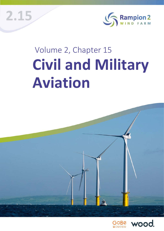

# Volume 2, Chapter 15 **Civil and Military Aviation**

**2.15**



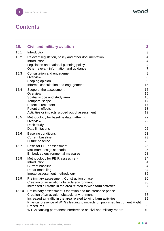wood.

# **Contents**

| 15.   | <b>Civil and military aviation</b>                                                                                                                                                                                                                          | 3                                      |
|-------|-------------------------------------------------------------------------------------------------------------------------------------------------------------------------------------------------------------------------------------------------------------|----------------------------------------|
| 15.1  | Introduction                                                                                                                                                                                                                                                | 3                                      |
| 15.2  | Relevant legislation, policy and other documentation<br>Introduction<br>Legislation and national planning policy<br>Other relevant information and guidance                                                                                                 | 4<br>4<br>4<br>$\overline{7}$          |
| 15.3  | Consultation and engagement<br>Overview<br>Scoping opinion<br>Informal consultation and engagement                                                                                                                                                          | 8<br>$\,8\,$<br>$\boldsymbol{9}$<br>15 |
| 15.4  | Scope of the assessment<br>Overview<br>Spatial scope and study area<br>Temporal scope<br><b>Potential receptors</b><br><b>Potential effects</b><br>Activities or impacts scoped out of assessment                                                           | 15<br>15<br>15<br>17<br>17<br>18<br>19 |
| 15.5  | Methodology for baseline data gathering<br>Overview<br>Desk study<br>Data limitations                                                                                                                                                                       | 22<br>22<br>22<br>22                   |
| 15.6  | <b>Baseline conditions</b><br><b>Current baseline</b><br><b>Future baseline</b>                                                                                                                                                                             | 23<br>23<br>25                         |
| 15.7  | <b>Basis for PEIR assessment</b><br>Maximum design scenario<br>Embedded environmental measures                                                                                                                                                              | 25<br>25<br>28                         |
| 15.8  | Methodology for PEIR assessment<br>Introduction<br><b>Current baseline</b><br>Radar modelling<br>Impact assessment methodology                                                                                                                              | 34<br>34<br>34<br>34<br>35             |
| 15.9  | Preliminary assessment: Construction phase<br>Creation of an aviation obstacle environment<br>Increased air traffic in the area related to wind farm activities                                                                                             | 36<br>36<br>37                         |
| 15.10 | Preliminary assessment: Operation and maintenance phase<br>Creation of an aviation obstacle environment<br>Increased air traffic in the area related to wind farm activities<br>Physical presence of WTGs leading to impacts on published Instrument Flight | 38<br>38<br>39                         |
|       | Procedures<br>WTGs causing permanent interference on civil and military radars                                                                                                                                                                              | 39<br>40                               |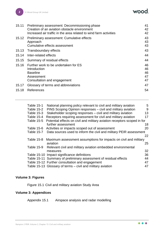| 15.11 | Preliminary assessment: Decommissioning phase<br>Creation of an aviation obstacle environment<br>Increased air traffic in the area related to wind farm activities | 41<br>42<br>42             |
|-------|--------------------------------------------------------------------------------------------------------------------------------------------------------------------|----------------------------|
| 15.12 | Preliminary assessment: Cumulative effects<br>Approach<br>Cumulative effects assessment                                                                            | 43<br>43<br>43             |
|       | 15.13 Transboundary effects                                                                                                                                        | 43                         |
|       | 15.14 Inter-related effects                                                                                                                                        | 44                         |
| 15.15 | Summary of residual effects                                                                                                                                        | 44                         |
| 15.16 | Further work to be undertaken for ES<br>Introduction<br><b>Baseline</b><br>Assessment<br>Consultation and engagement                                               | 46<br>46<br>46<br>47<br>47 |
| 15.17 | Glossary of terms and abbreviations                                                                                                                                | 47                         |
| 15.18 | References                                                                                                                                                         | 54                         |
|       |                                                                                                                                                                    |                            |

| <b>Table 15-1</b> | National planning policy relevant to civil and military aviation         | 5  |
|-------------------|--------------------------------------------------------------------------|----|
| Table 15-2        | PINS Scoping Opinion responses - civil and military aviation             | 9  |
| <b>Table 15-3</b> | Stakeholder scoping responses - civil and military aviation              | 13 |
| Table 15-4        | Receptors requiring assessment for civil and military aviation           | 17 |
| <b>Table 15-5</b> | Potential effects on civil and military aviation receptors scoped in for |    |
|                   | further assessment                                                       | 18 |
| Table 15-6        | Activities or impacts scoped out of assessment                           | 20 |
| Table 15-7        | Data sources used to inform the civil and military PEIR assessment       |    |
|                   |                                                                          | 22 |
| Table 15-8        | Maximum assessment assumptions for impacts on civil and military         |    |
|                   | aviation                                                                 | 25 |
| Table 15-9        | Relevant civil and military aviation embedded environmental              |    |
|                   | measures                                                                 | 32 |
|                   | Table 15-10 Impact significance definitions                              | 36 |
|                   | Table 15-11 Summary of preliminary assessment of residual effects        | 44 |
|                   | Table 15-12 Further consultation and engagement                          | 47 |
|                   | Table 15-13 Glossary of terms – civil and military aviation              | 47 |
|                   |                                                                          |    |

## **Volume 3: Figures**

Figure 15.1 Civil and military aviation Study Area

## **Volume 3: Appendices**

Appendix 15.1 Airspace analysis and radar modelling

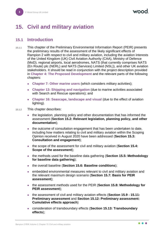# <span id="page-3-0"></span>**15. Civil and military aviation**

## <span id="page-3-1"></span>**15.1 Introduction**

- 15.1.1 This chapter of the Preliminary Environmental Information Report (PEIR) presents the preliminary results of the assessment of the likely significant effects of Rampion 2 with respect to civil and military aviation, including the aviation interests of the United Kingdom (UK) Civil Aviation Authority (CAA), Ministry of Defence (MoD), regional airports, local aerodromes, NATS (that currently comprises NATS (En Route) plc (NERL) and NATS (Services) Limited (NSL)), and other UK aviation stakeholders. It should be read in conjunction with the project description provided in **Chapter 4: The Proposed Development** and the relevant parts of the following chapters:
	- ⚫ **Chapter 7: Other marine users** (which considers military activities);
	- ⚫ **Chapter 13: Shipping and navigation** (due to marine activities associated with Search and Rescue operations); and
	- ⚫ **Chapter 16: Seascape, landscape and visual** (due to the effect of aviation lighting).
- 15.1.2 This chapter describes:
	- the legislation, planning policy and other documentation that has informed the assessment (**Section [15.2:](#page-4-0) Relevant legislation, planning policy, and other documentation**);
	- the outcome of consultation engagement that has been undertaken to date, including how matters relating to civil and military aviation within the Scoping Opinion received in August 2020 have been addressed (**Section [15.3:](#page-8-0) Consultation and engagement**);
	- ⚫ the scope of the assessment for civil and military aviation (**Section [15.4:](#page-15-1) Scope of the assessment**);
	- ⚫ the methods used for the baseline data gathering (**Section [15.5:](#page-22-0) Methodology for baseline data gathering**);
	- ⚫ the overall baseline (**Section [15.6:](#page-23-0) Baseline conditions**);
	- ⚫ embedded environmental measures relevant to civil and military aviation and the relevant maximum design scenario (**Section [15.7:](#page-25-1) Basis for PEIR assessment**);
	- ⚫ the assessment methods used for the PEIR (**Section [15.8:](#page-34-0) Methodology for PEIR assessment**);
	- ⚫ the assessment of civil and military aviation effects (**Section [15.9](#page-36-0) - [15.11:](#page-41-0) Preliminary assessment** and **Section [15.12:](#page-43-0) Preliminary assessment: Cumulative effects approach**)
	- ⚫ consideration of transboundary effects (**Section [15.13:](#page-43-3) Transboundary effects**);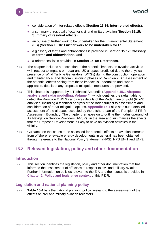- ⚫ consideration of Inter-related effects (**Section [15.14:](#page-44-0) Inter-related effects**);
- ⚫ a summary of residual effects for civil and military aviation (**Section [15.15:](#page-44-1) Summary of residual effects**);
- an outline of further work to be undertaken for the Environmental Statement (ES) **(Section [15.16:](#page-46-0) Further work to be undertaken for ES**);
- ⚫ a glossary of terms and abbreviations is provided in **Section [15.17:](#page-47-2) Glossary of terms and abbreviations**; and
- ⚫ a references list is provided in **Section [15.18:](#page-54-0) References**.
- 15.1.3 The chapter includes a description of the potential impacts on aviation activities with respect to impacts on radar and UK airspace predicted due to the physical presence of Wind Turbine Generators (WTGs) during the construction, operation and maintenance, and decommissioning phases of Rampion 2. An assessment of the potential effects arising from these impacts is undertaken and, where applicable, details of any proposed mitigation measures are provided.
- 15.1.4 This chapter is supported by a Technical Appendix (**Appendix 15.1 Airspace analysis and radar modelling, Volume 4**), which identifies the radar liable to detect the Rampion 2 WTGs and gives details of the Radar Line of Sight (RLoS) analyses, including a technical analysis of the radar subject to assessment and consideration of radar mitigation options. **Appendix 15.1** also sets out a detailed assessment of the airspace occupied by the offshore part of the Rampion 2 PEIR Assessment Boundary. The chapter then goes on to outline the modus operandi of Air Navigation Service Providers (ANSPs) in the area and summarises the effects that the Proposed Development is likely to have on aviation activities in the vicinity.
- 15.1.5 Guidance on the issues to be assessed for potential effects on aviation interests from offshore renewable energy developments in general has been obtained through reference to the National Policy Statement (NPS): NPS EN-1 and EN-3.

## <span id="page-4-0"></span>**15.2 Relevant legislation, policy and other documentation**

#### <span id="page-4-1"></span>**Introduction**

15.2.1 This section identifies the legislation, policy and other documentation that has informed the assessment of effects with respect to civil and military aviation. Further information on policies relevant to the EIA and their status is provided in **Chapter 2: Policy and legislative context** of this PEIR.

#### <span id="page-4-2"></span>**Legislation and national planning policy**

15.2.2 **[Table 15-1](#page-5-0)** lists the national planning policy relevant to the assessment of the effects on civil and military aviation receptors.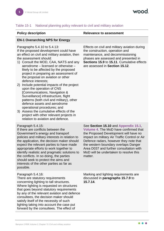#### <span id="page-5-0"></span>Table 15-1 National planning policy relevant to civil and military aviation

#### **EN-1 Overarching NPS for Energy**

#### Paragraphs 5.4.10 to 5.4.13:

If the proposed development could have an effect on civil and military aviation, then the assessment should:

- 1) Consult the MOD, CAA, NATS and any aerodrome – licensed or otherwise – likely to be affected by the proposed project in preparing an assessment of the proposal on aviation or other defence interests;
- 2) Include potential impacts of the project upon the operation of CNS [Communications, Navigation & Surveillance] infrastructure, flight patterns (both civil and military), other defence assets and aerodrome operational procedures; and
- 3) Assess the cumulative effects of the project with other relevant projects in relation to aviation and defence.

#### Paragraph 5.4.15:

If there are conflicts between the Government's energy and transport policies and military interests in relation to the application, the decision maker should expect the relevant parties to have made appropriate efforts to work together to identify realistic and pragmatic solutions to the conflicts. In so doing, the parties should seek to protect the aims and interests of the other parties as far as possible.

#### Paragraph 5.4.16:

There are statutory requirements concerning lighting to tall structures. Where lighting is requested on structures that goes beyond statutory requirements by any of the relevant aviation and defence consultees, the decision maker should satisfy itself of the necessity of such lighting taking into account the case put forward by the consultees. The effect of

#### **Policy description Relevance to assessment**

Effects on civil and military aviation during the construction, operation and maintenance, and decommissioning phases are assessed and presented in **Sections [15.9](#page-36-0)** to **[15.11](#page-41-0)**. Cumulative effects are assessed in **Section [15.12](#page-43-0)**.

See **Section [15.10](#page-38-0)** and **Appendix 15.1**, **Volume 4**. The MoD have confirmed that the Proposed Development will have no impact on military Air Traffic Control or Air Defence radars, however they note that the western boundary overlaps Danger Area D037 and further consultation with MoD will be undertaken to resolve this matter.

Marking and lighting requirements are discussed in **paragraphs [15.7.9](#page-29-0)** to **[15.7.14](#page-30-0)**.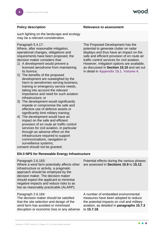such lighting on the landscape and ecology may be a relevant consideration.

#### Paragraph 5.4.17:

Where, after reasonable mitigation, operational changes, obligations and requirements have been proposed, the decision maker considers that:

- 1) A development would prevent a licensed aerodrome from maintaining its licence;
- 2) The benefits of the proposed development are outweighed by the harm to aerodromes serving business, training or emergency service needs, taking into account the relevant importance and need for such aviation infrastructure; or
- 3) The development would significantly impede or compromise the safe and effective use of defence assets or significantly limit military training;
- 4) The development would have an impact on the safe and efficient provision of en route air traffic control services for civil aviation, in particular through an adverse effect on the infrastructure required to support communications, navigation or surveillance systems;

consent should not be granted.

#### **EN-3 NPS for Renewable Energy Infrastructure**

#### Paragraph 2.6.183:

Where a wind farm potentially affects other infrastructure or activity, a pragmatic approach should be employed by the decision maker. The decision maker should expect the applicant to minimise negative impacts and reduce risks to as low as reasonably practicable (ALARP).

#### Paragraph 2.6.184:

The decision maker should be satisfied that the site selection and design of the wind farm has avoided or minimised disruption or economic loss or any adverse The Proposed Development has the potential to generate clutter on radar displays and thus have an impact on the safe and efficient provision of en route air traffic control services for civil aviation. However, mitigation options are available, as discussed in **Section [15.10](#page-38-0)** and set out in detail in **Appendix 15.1**, **Volume 4**.

#### **Policy description Relevance to assessment**

Potential effects during the various phases are assessed in **Sections [15.9](#page-36-0)** to **[15.12](#page-43-0)**.

A number of embedded environmental measures have been adopted to reduce the potential impacts on civil and military aviation, as detailed in **paragraphs [15.7.3](#page-28-1)** to **[15.7.18](#page-31-0)**.

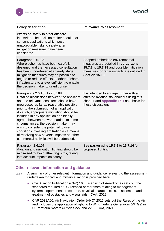#### **Policy description**

| Paragraph 2.6.186:<br>Adopted embedded environmental<br>Where schemes have been carefully<br>measures are detailed in paragraphs<br>designed and the necessary consultation<br>15.7.3 to 15.7.18 and possible mitigation<br>has been undertaken at an early stage,<br>measures for radar impacts are outlined in<br><b>Section 15.10.</b><br>mitigation measures may be possible to<br>negate or reduce effects on other offshore<br>infrastructure to a level sufficient to enable<br>the decision maker to grant consent.<br>It is intended to engage further with all<br>Paragraphs 2.6.187 to 2.6.188:<br>Detailed discussions between the applicant<br>affected aviation stakeholders using this<br>and the relevant consultees should have<br>chapter and Appendix 15.1 as a basis for<br>those discussions.<br>progressed as far as reasonably possible<br>prior to the submission of an application.<br>As such, appropriate mitigation should be<br>included in any application and ideally<br>agreed between relevant parties. In some<br>circumstances, the decision maker may<br>wish to consider the potential to use<br>conditions involving arbitration as a means<br>of resolving how adverse impacts on other<br>commercial activities will be addressed.<br>Paragraph 2.6.107:<br>See paragraphs 15.7.9 to 15.7.14 for<br>Aviation and navigation lighting should be<br>proposed lighting.<br>minimised to avoid attracting birds, taking<br>into account impacts on safety. | effects on safety to other offshore<br>industries. The decision maker should not<br>consent applications which pose<br>unacceptable risks to safety after<br>mitigation measures have been<br>considered. |  |
|------------------------------------------------------------------------------------------------------------------------------------------------------------------------------------------------------------------------------------------------------------------------------------------------------------------------------------------------------------------------------------------------------------------------------------------------------------------------------------------------------------------------------------------------------------------------------------------------------------------------------------------------------------------------------------------------------------------------------------------------------------------------------------------------------------------------------------------------------------------------------------------------------------------------------------------------------------------------------------------------------------------------------------------------------------------------------------------------------------------------------------------------------------------------------------------------------------------------------------------------------------------------------------------------------------------------------------------------------------------------------------------------------------------------------------------------------------------------------------------------|-----------------------------------------------------------------------------------------------------------------------------------------------------------------------------------------------------------|--|
|                                                                                                                                                                                                                                                                                                                                                                                                                                                                                                                                                                                                                                                                                                                                                                                                                                                                                                                                                                                                                                                                                                                                                                                                                                                                                                                                                                                                                                                                                                |                                                                                                                                                                                                           |  |
|                                                                                                                                                                                                                                                                                                                                                                                                                                                                                                                                                                                                                                                                                                                                                                                                                                                                                                                                                                                                                                                                                                                                                                                                                                                                                                                                                                                                                                                                                                |                                                                                                                                                                                                           |  |
|                                                                                                                                                                                                                                                                                                                                                                                                                                                                                                                                                                                                                                                                                                                                                                                                                                                                                                                                                                                                                                                                                                                                                                                                                                                                                                                                                                                                                                                                                                |                                                                                                                                                                                                           |  |

#### <span id="page-7-0"></span>**Other relevant information and guidance**

- <span id="page-7-1"></span>15.2.3 A summary of other relevant information and guidance relevant to the assessment undertaken for civil and military aviation is provided here:
	- ⚫ Civil Aviation Publication (CAP) 168: Licensing of Aerodromes sets out the standards required at UK licensed aerodromes relating to management systems, operational procedures, physical characteristics, assessment and treatment of obstacles and visual aids. (CAA, 2019);
	- ⚫ CAP 2038A00: Air Navigation Order (ANO) 2016 sets out the Rules of the Air and includes the application of lighting to Wind Turbine Generators (WTGs) in UK territorial waters (Articles 222 and 223). (CAA, 2021);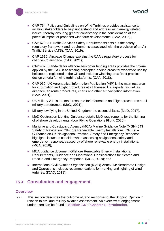- CAP 764: Policy and Guidelines on Wind Turbines provides assistance to aviation stakeholders to help understand and address wind energy related issues, thereby ensuring greater consistency in the consideration of the potential impact of proposed wind farm developments. (CAA, 2016);
- CAP 670: Air Traffic Services Safety Requirements sets out the safety regulatory framework and requirements associated with the provision of an Air Traffic Service (ATS). (CAA, 2019);
- CAP 1616: Airspace Change explains the CAA's regulatory process for changes to airspace. (CAA, 2021);
- CAP 437: Standards for offshore helicopter landing areas provides the criteria applied by the CAA in assessing helicopter landing areas for worldwide use by helicopters registered in the UK and includes winching area 'best practice' design criteria for wind turbine platforms. (CAA, 2018);
- CAP 032: UK Aeronautical Information Publication (AIP) is the main resource for information and flight procedures at all licensed UK airports, as well as airspace, en route procedures, charts and other air navigation information. (CAA, 2021);
- ⚫ UK Military AIP is the main resource for information and flight procedures at all military aerodromes. (MoD, 2021);
- Military low flying in the United Kingdom: the essential facts. (MoD, 2017);
- MoD Obstruction Lighting Guidance details MoD requirements for the lighting of offshore developments. (Low Flying Operations Flight, 2020);
- Maritime and Coastguard Agency (MCA) Marine Guidance Note (MGN) 543 Safety of Navigation: Offshore Renewable Energy Installations (OREIs) – Guidance on UK Navigational Practice, Safety and Emergency Response highlights issues to consider when assessing navigational safety and emergency response, caused by offshore renewable energy installations. (MCA, 2016);
- MCA guidance document Offshore Renewable Energy Installations: Requirements, Guidance and Operational Considerations for Search and Rescue and Emergency Response. (MCA, 2018); and
- International Civil Aviation Organisation (ICAO) Annex 14: Aerodrome Design and Operations includes recommendations for marking and lighting of wind turbines. (ICAO, 2018).

## <span id="page-8-0"></span>**15.3 Consultation and engagement**

#### <span id="page-8-1"></span>**Overview**

15.3.1 This section describes the outcome of, and response to, the Scoping Opinion in relation to civil and military aviation assessment. An overview of engagement undertaken can be found in **Section 1.5** of **Chapter 1: Introduction**.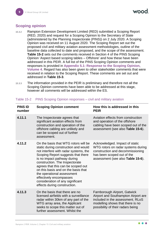## <span id="page-9-0"></span>**Scoping opinion**

- 15.3.2 Rampion Extension Development Limited (RED) submitted a Scoping Report (RED, 2020) and request for a Scoping Opinion to the Secretary of State (administered by the Planning Inspectorate (PINS)) on 2 July 2020. A Scoping Opinion was received on 11 August 2020. The Scoping Report set out the proposed civil and military aviation assessment methodologies, outline of the baseline data collected to date and proposed, and the scope of the assessment. **[Table 15-2](#page-9-1)** sets out the comments received in Section 4 of the PINS Scoping Opinion 'Aspect based scoping tables – Offshore' and how these have been addressed in this PEIR. A full list of the PINS Scoping Opinion comments and responses is provided in **Appendix 5.1: Response to the Scoping Opinion, Volume 4**. Regard has also been given to other stakeholder comments that were received in relation to the Scoping Report. These comments are set out and addressed in **[Table 15-3](#page-13-0)**.
- 15.3.3 The information provided in the PEIR is preliminary and therefore not all the Scoping Opinion comments have been able to be addressed at this stage, however all comments will be addressed within the ES.

| <b>PINS ID</b><br>number | <b>Scoping Opinion comment</b>                                                                                                                                                                                                                                                                                                                                                                                                         | How this is addressed in this<br><b>PEIR</b>                                                                                                                                     |
|--------------------------|----------------------------------------------------------------------------------------------------------------------------------------------------------------------------------------------------------------------------------------------------------------------------------------------------------------------------------------------------------------------------------------------------------------------------------------|----------------------------------------------------------------------------------------------------------------------------------------------------------------------------------|
| 4.11.1                   | The Inspectorate agrees that<br>significant aviation effects from<br>construction and operation of the<br>offshore cabling are unlikely and<br>can be scoped out of further<br>assessment.                                                                                                                                                                                                                                             | Aviation effects from construction<br>and operation of the offshore<br>cabling have been scoped out of the<br>assessment (see also Table 15-6).                                  |
| 4.11.2                   | On the basis that WTG rotors will be<br>static during construction and would<br>not interfere with radar systems, the<br>Scoping Report suggests that there<br>is no impact pathway during<br>construction. The Inspectorate<br>agrees that this can be scoped out<br>on this basis and on the basis that<br>the operational assessment<br>effectively encompasses<br>consideration of any significant<br>effects during construction. | Acknowledged. Impact of static<br>WTG rotors on radar systems during<br>construction and decommissioning<br>has been scoped out of the<br>assessment (see also Table 15-6).      |
| 4.11.3                   | On the basis that there are no<br>licensed airfields with a surveillance<br>radar within 30km of any part of the<br>WTG array area, the Applicant<br>seeks to scope this matter out of<br>further assessment. Whilst the                                                                                                                                                                                                               | Farnborough Airport, Gatwick<br>Airport and Southampton Airport are<br>included in the assessment. RLoS<br>modelling shows that there is no<br>possibility of their radars being |

#### <span id="page-9-1"></span>Table 15-2 PINS Scoping Opinion responses – civil and military aviation

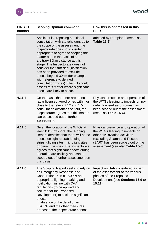wood.

| <b>PINS ID</b><br>number | <b>Scoping Opinion comment</b>                                                                                                                                                                                                                                                                                                                                                                                                                                                                                                                              | How this is addressed in this<br><b>PEIR</b>                                                                                                                                                                     |
|--------------------------|-------------------------------------------------------------------------------------------------------------------------------------------------------------------------------------------------------------------------------------------------------------------------------------------------------------------------------------------------------------------------------------------------------------------------------------------------------------------------------------------------------------------------------------------------------------|------------------------------------------------------------------------------------------------------------------------------------------------------------------------------------------------------------------|
|                          | Applicant is proposing additional<br>consultation with stakeholders as to<br>the scope of the assessment, the<br>Inspectorate does not consider it<br>appropriate to agree to scoping this<br>matter out on the basis of an<br>arbitrary 30km distance at this<br>stage. The Inspectorate does not<br>consider that sufficient justification<br>has been provided to exclude<br>effects beyond 30km (for example<br>with reference to defined<br>consultation zones). The ES should<br>assess this matter where significant<br>effects are likely to occur. | affected by Rampion 2 (see also<br>Table 15-6).                                                                                                                                                                  |
| 4.11.4                   | On the basis that there are no no-<br>radar licensed aerodromes within or<br>close to the relevant 12 and 17km<br>consultation distances set out, the<br>Inspectorate agrees that this matter<br>can be scoped out of further<br>assessment.                                                                                                                                                                                                                                                                                                                | Physical presence and operation of<br>the WTGs leading to impacts on no-<br>radar licensed aerodromes has<br>been scoped out of the assessment<br>(see also Table 15-6).                                         |
| 4.11.5                   | Given the location of the WTGs at<br>least 12km offshore, the Scoping<br>Report identifies that there will be no<br>effects on light aircraft landing<br>strips, gliding sites, microlight sites<br>or parachute sites. The Inspectorate<br>agrees that significant effects during<br>operation are unlikely and can be<br>scoped out of further assessment on<br>this basis.                                                                                                                                                                               | Physical presence and operation of<br>the WTGs leading to impacts on<br>other civil aviation activities<br>(excluding Search and Rescue<br>(SAR)) has been scoped out of the<br>assessment (see also Table 15-6) |
| 4.11.6                   | The Scoping Report seeks to rely on<br>an Emergency Response and<br>Cooperation Plan (ERCOP) and<br>appropriate lighting, marking and<br>notification, in line with CAA<br>regulations (to be applied and<br>secured for the Proposed<br>Development) to exclude significant<br>effects.<br>In absence of the detail of an<br><b>ERCOP</b> and the other measures<br>proposed, the Inspectorate cannot                                                                                                                                                      | Impact on SAR considered as part<br>of the assessment of the various<br>phases of the Proposed<br>Development (see Sections 15.9 to<br>$15.11$ ).                                                                |

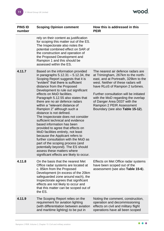wood.

| <b>PINS ID</b><br>number | <b>Scoping Opinion comment</b>                                                                                                                                                                                                                                                                                                                                                                                                                                                                                                                                                                                                                                                                                                                                                                                                                      | How this is addressed in this<br><b>PEIR</b>                                                                                                                                                                                                                                                                                                                                |
|--------------------------|-----------------------------------------------------------------------------------------------------------------------------------------------------------------------------------------------------------------------------------------------------------------------------------------------------------------------------------------------------------------------------------------------------------------------------------------------------------------------------------------------------------------------------------------------------------------------------------------------------------------------------------------------------------------------------------------------------------------------------------------------------------------------------------------------------------------------------------------------------|-----------------------------------------------------------------------------------------------------------------------------------------------------------------------------------------------------------------------------------------------------------------------------------------------------------------------------------------------------------------------------|
|                          | rely on their content as justification<br>for scoping this matter out of the ES.<br>The Inspectorate also notes the<br>potential combined effect on SAR of<br>the construction and operation of<br>the Proposed Development and<br>Rampion 1 and this should be<br>assessed within the ES.                                                                                                                                                                                                                                                                                                                                                                                                                                                                                                                                                          |                                                                                                                                                                                                                                                                                                                                                                             |
| 4.11.7                   | Based on the information provided<br>in paragraphs $5.12.31 - 5.12.34$ , the<br>Scoping Report suggests that it is<br>"evident" that there is sufficient<br>distance from the Proposed<br>Development to rule out significant<br>effects on MoD facilities.<br>Paragraph 5.12.55 also states that<br>there are no air defence radars<br>within a "relevant distance of<br>Rampion 2" although such a<br>distance is not defined.<br>The Inspectorate does not consider<br>sufficient technical and evidence<br>based information has been<br>provided to agree that effects on<br>MoD facilities entirely, not least<br>because the Applicant refers to<br>further consultation with the MoD as<br>part of the scoping process (and<br>potentially beyond). The ES should<br>assess these matters where<br>significant effects are likely to occur. | The nearest air defence radars are<br>at Trimingham, 267km to the north-<br>east, and at Portreath, 329km to the<br>west. Neither of these radars will<br>have RLoS of Rampion 2 turbines.<br>Further consultation will be initiated<br>with the MoD regarding the overlap<br>of Danger Area D037 with the<br>Rampion 2 PEIR Assessment<br>Boundary (see also Table 15-12). |
| 4.11.8                   | On the basis that the nearest Met<br>Office radar systems are located at<br>c. 85km from the Proposed<br>Development (in excess of the 20km<br>safeguarded zone around each), the<br>Inspectorate agrees that significant<br>effects are not likely to occur and<br>that this matter can be scoped out of<br>the ES.                                                                                                                                                                                                                                                                                                                                                                                                                                                                                                                                | Effects on Met Office radar systems<br>have been scoped out of the<br>assessment (see also Table 15-6).                                                                                                                                                                                                                                                                     |
| 4.11.9                   | The Scoping Report relies on the<br>requirement for aviation lighting<br>(with differentiation between aviation<br>and maritime lighting) to be put in                                                                                                                                                                                                                                                                                                                                                                                                                                                                                                                                                                                                                                                                                              | Noting the comment, construction,<br>operation and decommissioning<br>effects on civil and military flight<br>operations have all been scoped                                                                                                                                                                                                                               |

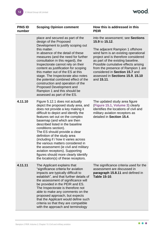wood.

| <b>PINS ID</b> | <b>Scoping Opinion comment</b>                                                                                                                                                                                                                                                                                                                                                                                                                                                                                                                                                            | How this is addressed in this                                                                                                                                                                                                                                                                                                                                               |
|----------------|-------------------------------------------------------------------------------------------------------------------------------------------------------------------------------------------------------------------------------------------------------------------------------------------------------------------------------------------------------------------------------------------------------------------------------------------------------------------------------------------------------------------------------------------------------------------------------------------|-----------------------------------------------------------------------------------------------------------------------------------------------------------------------------------------------------------------------------------------------------------------------------------------------------------------------------------------------------------------------------|
| number         |                                                                                                                                                                                                                                                                                                                                                                                                                                                                                                                                                                                           | <b>PEIR</b>                                                                                                                                                                                                                                                                                                                                                                 |
|                | place and secured as part of the<br>design of the Proposed<br>Development to justify scoping out<br>this matter.<br>In absence of the detail of these<br>measures (and the need for further<br>consultation in this regard), the<br>Inspectorate cannot rely on their<br>content as justification for scoping<br>this matter out of the ES at this<br>stage. The Inspectorate also notes<br>the potential combined effect of the<br>construction and operation of the<br>Proposed Development and<br>Rampion 1 and this should be<br>assessed as part of the ES.                          | into the assessment; see Sections<br>15.9 to 15.12.<br>The adjacent Rampion 1 offshore<br>wind farm is an existing operational<br>project and is therefore considered<br>as part of the existing baseline.<br>Possible cumulative effects arising<br>from the presence of Rampion 1 are<br>considered in Section 15.7 and<br>assessed in Sections 15.9, 15.10<br>and 15.11. |
| 4.11.10        | Figure 5.12.1 does not actually<br>depict the proposed study area, and<br>does not provide a key making it<br>difficult to depict and identify the<br>features set out on the complex<br>basemap (and which are then<br>described listed in the baseline<br>conditions section).<br>The ES should provide a clear<br>definition of the study area<br>(including if / how it varies across<br>the various matters considered in<br>the assessment (ie civil and military<br>aviation receptors). Supporting<br>figures should more clearly identify<br>the location(s) of these receptors. | The updated study area figure<br>(Figure 15.1, Volume 3) clearly<br>identifies the locations of civil and<br>military aviation receptors as<br>detailed in Section 15.4.                                                                                                                                                                                                    |
| 4.11.11        | The Applicant explains that<br>"significance criteria for aviation<br>impacts are typically difficult to<br>establish", and that further details of<br>the assessment of significance will<br>be provided in the PEIR and ES.<br>The Inspectorate is therefore not<br>able to make any comments on the<br>proposed approach, but expects<br>that the Applicant would define such<br>criteria so that they are compatible<br>with the approach and terminology                                                                                                                             | The significance criteria used for the<br>assessment are discussed in<br>paragraph 15.8.11 and defined in<br><b>Table 15-10.</b>                                                                                                                                                                                                                                            |

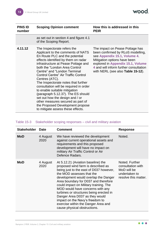| <b>PINS ID</b><br>number | <b>Scoping Opinion comment</b>                                                                                                                                                                                                                                                                                                                                                                                                                                                                                                                                                                                             | How this is addressed in this<br><b>PEIR</b>                                                                                                                                                                                                             |
|--------------------------|----------------------------------------------------------------------------------------------------------------------------------------------------------------------------------------------------------------------------------------------------------------------------------------------------------------------------------------------------------------------------------------------------------------------------------------------------------------------------------------------------------------------------------------------------------------------------------------------------------------------------|----------------------------------------------------------------------------------------------------------------------------------------------------------------------------------------------------------------------------------------------------------|
|                          | as set out in section 4 and figure 4.1<br>of the Scoping Report.                                                                                                                                                                                                                                                                                                                                                                                                                                                                                                                                                           |                                                                                                                                                                                                                                                          |
| 4.11.12                  | The Inspectorate refers the<br>Applicant to the comments of NATS<br>En Route PLC and the potential<br>effects identified by them on radar<br>infrastructure at Pease Pottage and<br>both the "London Area Control<br>Centre" and "London Terminal<br><b>Control Centre" Air Traffic Control</b><br>Centres (ATC).<br>The Inspectorate notes that further<br>consultation will be required in order<br>to enable suitable mitigation<br>(paragraph 5.12.37). The ES should<br>set out how the design and / or<br>other measures secured as part of<br>the Proposed Development propose<br>to mitigate assess these effects. | The impact on Pease Pottage has<br>been confirmed by RLoS modelling,<br>see Appendix 15.1, Volume 4.<br>Mitigation options have been<br>explored in Appendix 15.1, Volume<br>4 and will inform further consultation<br>with NERL (see also Table 15-12). |

## <span id="page-13-0"></span>Table 15-3 Stakeholder scoping responses – civil and military aviation

| <b>Stakeholder</b> | Date             | Comment                                                                                                                                                                                                                                                                                                                                                                                                                                                                                               | <b>Response</b>                                                                             |
|--------------------|------------------|-------------------------------------------------------------------------------------------------------------------------------------------------------------------------------------------------------------------------------------------------------------------------------------------------------------------------------------------------------------------------------------------------------------------------------------------------------------------------------------------------------|---------------------------------------------------------------------------------------------|
| <b>MoD</b>         | 4 August<br>2020 | We have reviewed the development<br>against current operational assets and<br>requirements and this proposed<br>development will have no impact on<br>military Air Traffic Control or Air<br>Defence Radars.                                                                                                                                                                                                                                                                                          | Noted.                                                                                      |
| <b>MoD</b>         | 4 August<br>2020 | At 5.12.21 (Aviation baseline) the<br>proposed wind farm is described as<br>being just to the east of D037 however,<br>the MOD assesses that the<br>development would overlap the Danger<br>Area boundary for D037 and therefore<br>could impact on Military training. The<br>MOD would have concerns with any<br>turbines or structures being erected in<br>Danger Area D037 as they would<br>impact on the Navy's freedom to<br>exercise within the Danger Area and<br>cause physical obstructions. | Noted. Further<br>consultation with<br>MoD will be<br>undertaken to<br>resolve this matter. |

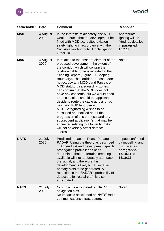wood.

| <b>Stakeholder</b> | <b>Date</b>      | <b>Comment</b>                                                                                                                                                                                                                                                                                                                                                                                                                                                                                                                                                                                                                                                                                                                                                                   | <b>Response</b>                                                                                |
|--------------------|------------------|----------------------------------------------------------------------------------------------------------------------------------------------------------------------------------------------------------------------------------------------------------------------------------------------------------------------------------------------------------------------------------------------------------------------------------------------------------------------------------------------------------------------------------------------------------------------------------------------------------------------------------------------------------------------------------------------------------------------------------------------------------------------------------|------------------------------------------------------------------------------------------------|
| <b>MoD</b>         | 4 August<br>2020 | In the interests of air safety, the MOD<br>would request that the development be<br>fitted with MOD accredited aviation<br>safety lighting in accordance with the<br>Civil Aviation Authority, Air Navigation<br>Order 2016.                                                                                                                                                                                                                                                                                                                                                                                                                                                                                                                                                     | Appropriate<br>lighting will be<br>fitted, as detailed<br>in paragraph<br>15.7.14.             |
| <b>MoD</b>         | 4 August<br>2020 | In relation to the onshore element of the<br>proposed development, the extent of<br>the corridor which will contain the<br>onshore cable route is included in the<br>Scoping Report (Figure 1.1 Scoping<br>Boundary). The corridor proposed does<br>not occupy any MOD Land Parcels or<br>MOD statutory safeguarding zones. I<br>can confirm that the MOD does not<br>have any concerns, but we would need<br>to be consulted should the applicant<br>decide to route the cable across or go<br>near any MOD land parcel.<br>MOD Safeguarding wishes to be<br>consulted and notified about the<br>progression of this proposal and any<br>subsequent application(s) that may be<br>submitted relating to it to verify that it<br>will not adversely affect defence<br>interests. | Noted.                                                                                         |
| <b>NATS</b>        | 21 July<br>2020  | <b>Predicted Impact on Pease Pottage</b><br>RADAR: Using the theory as described<br>in Appendix A and development specific<br>propagation profile it has been<br>determined that the terrain screening<br>available will not adequately attenuate<br>the signal, and therefore this<br>development is likely to cause false<br>primary plots to be generated. A<br>reduction in the RADAR's probability of<br>detection, for real aircraft, is also<br>anticipated.                                                                                                                                                                                                                                                                                                              | Impact confirmed<br>by modelling and<br>discussed in<br>paragraphs<br>15.10.11 to<br>15.10.17. |
| <b>NATS</b>        | 21 July<br>2020  | No impact is anticipated on NATS'<br>navigation aids.<br>No impact is anticipated on NATS' radio<br>communications infrastructure.                                                                                                                                                                                                                                                                                                                                                                                                                                                                                                                                                                                                                                               | Noted.                                                                                         |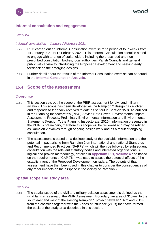#### <span id="page-15-0"></span>**Informal consultation and engagement**

#### **Overview**

#### *Informal consultation – January / February 2021*

- 15.3.4 RED carried out an Informal Consultation exercise for a period of four weeks from 14 January 2021 to 12 February 2021. This Informal Consultation exercise aimed to engage with a range of stakeholders including the prescribed and nonprescribed consultation bodies, local authorities, Parish Councils and general public with a view to introducing the Proposed Development and seeking early feedback on the emerging designs.
- 15.3.5 Further detail about the results of the Informal Consultation exercise can be found in the **Informal Consultation Analysis**.

## <span id="page-15-1"></span>**15.4 Scope of the assessment**

#### <span id="page-15-2"></span>**Overview**

- 15.4.1 This section sets out the scope of the PEIR assessment for civil and military aviation. This scope has been developed as the Rampion 2 design has evolved and responds to feedback received to date as set out in **Section [15.3](#page-8-0)**. As outlined in the Planning Inspectorate's (PINS) Advice Note Seven: Environmental Impact Assessment: Process, Preliminary Environmental Information and Environmental Statements (Version 7, the Planning Inspectorate, 2020), information presented in the PEIR is preliminary, therefore this scope will be reviewed and may be refined as Rampion 2 evolves through ongoing design work and as a result of ongoing consultation.
- 15.4.2 The assessment is based on a desktop study of the available information and the potential impact arising from Rampion 2 on international and national Standards and Recommended Practices (SARPs) which will then be followed by subsequent consultation with the relevant statutory bodies and interested organisations. A logical and proven methodology, detailed in **Appendix 15.1, Volume 4** and based on the requirements of CAP 764, was used to assess the potential effects of the establishment of the Proposed Development on radars. The outputs of that assessment have then been used in this chapter to consider the consequences of any radar impacts on the airspace in the vicinity of Rampion 2.

#### <span id="page-15-3"></span>**Spatial scope and study area**

#### **Overview**

15.4.3 The spatial scope of the civil and military aviation assessment is defined as the wind farm array area of the PEIR Assessment Boundary, an area of  $315$ km<sup>2</sup> to the south east and west of the existing Rampion 1 project between 13km and 25km from the coastline together with the Zones of Influence (ZOIs) that have formed the basis of the study area described in this section.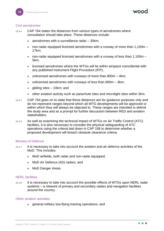#### Civil aerodromes

15.4.4 CAP 764 states the distances from various types of aerodromes where consultation should take place. These distances include:

- ⚫ aerodromes with a surveillance radar 30km;
- ⚫ non-radar equipped licensed aerodromes with a runway of more than 1,100m 17km;
- non-radar equipped licensed aerodromes with a runway of less than  $1.100m -$ 5km;
- licensed aerodromes where the WTGs will lie within airspace coincidental with any published Instrument Flight Procedure (IFP);
- unlicensed aerodromes with runways of more than  $800m 4km$ ;
- unlicensed aerodromes with runways of less than 800m 3km;
- $\bullet$  qliding sites  $-10$ km; and
- ⚫ other aviation activity such as parachute sites and microlight sites within 3km.
- 15.4.5 CAP 764 goes on to state that these distances are for guidance purposes only and do not represent ranges beyond which all WTG developments will be approved or within which they will always be objected to. These ranges are intended to delimit the study area and as a prompt for further discussion between RED and aviation stakeholders.
- 15.4.6 As well as examining the technical impact of WTGs on Air Traffic Control (ATC) facilities, it is also necessary to consider the physical safeguarding of ATC operations using the criteria laid down in CAP 168 to determine whether a proposed development will breach obstacle clearance criteria.

#### Ministry of Defence

- 15.4.7 It is necessary to take into account the aviation and air defence activities of the MoD. This includes:
	- MoD airfields, both radar and non-radar equipped;
	- MoD Air Defence (AD) radars; and
	- MoD Danger Areas.

#### NERL facilities

15.4.8 It is necessary to take into account the possible effects of WTGs upon NERL radar systems – a network of primary and secondary radars and navigation facilities around the country.

## Other aviation activities

● general military low-flying training operations; and

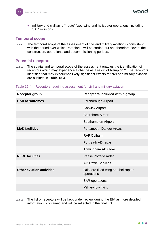MOOO

⚫ military and civilian 'off-route' fixed-wing and helicopter operations, including SAR missions.

#### <span id="page-17-0"></span>**Temporal scope**

15.4.9 The temporal scope of the assessment of civil and military aviation is consistent with the period over which Rampion 2 will be carried out and therefore covers the construction, operational and decommissioning periods.

## <span id="page-17-1"></span>**Potential receptors**

15.4.10 The spatial and temporal scope of the assessment enables the identification of receptors which may experience a change as a result of Rampion 2. The receptors identified that may experience likely significant effects for civil and military aviation are outlined in **[Table 15-4](#page-17-2)**.

| <b>Receptor group</b>            | <b>Receptors included within group</b>           |
|----------------------------------|--------------------------------------------------|
| Civil aerodromes                 | Farnborough Airport                              |
|                                  | <b>Gatwick Airport</b>                           |
|                                  | <b>Shoreham Airport</b>                          |
|                                  | Southampton Airport                              |
| <b>MoD</b> facilities            | <b>Portsmouth Danger Areas</b>                   |
|                                  | <b>RAF Odiham</b>                                |
|                                  | Portreath AD radar                               |
|                                  | Trimingham AD radar                              |
| <b>NERL</b> facilities           | Pease Pottage radar                              |
|                                  | <b>Air Traffic Services</b>                      |
| <b>Other aviation activities</b> | Offshore fixed-wing and helicopter<br>operations |
|                                  | <b>SAR</b> operations                            |
|                                  | Military low flying                              |

#### <span id="page-17-2"></span>Table 15-4 Receptors requiring assessment for civil and military aviation

15.4.11 The list of receptors will be kept under review during the EIA as more detailed information is obtained and will be reflected in the final ES.

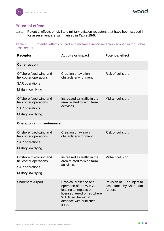wood

## <span id="page-18-0"></span>**Potential effects**

15.4.12 Potential effects on civil and military aviation receptors that have been scoped in for assessment are summarised in **[Table 15-5](#page-18-1)**.

<span id="page-18-1"></span>Table 15-5 Potential effects on civil and military aviation receptors scoped in for further assessment

| <b>Receptor</b>                                                                                  | <b>Activity or impact</b>                                                                                                                                       | <b>Potential effect</b>                                          |
|--------------------------------------------------------------------------------------------------|-----------------------------------------------------------------------------------------------------------------------------------------------------------------|------------------------------------------------------------------|
| <b>Construction</b>                                                                              |                                                                                                                                                                 |                                                                  |
| Offshore fixed-wing and<br>helicopter operations<br><b>SAR</b> operations<br>Military low flying | Creation of aviation<br>obstacle environment.                                                                                                                   | Risk of collision.                                               |
| Offshore fixed-wing and<br>helicopter operations<br><b>SAR</b> operations<br>Military low flying | Increased air traffic in the<br>area related to wind farm<br>activities.                                                                                        | Mid-air collision.                                               |
| <b>Operation and maintenance</b>                                                                 |                                                                                                                                                                 |                                                                  |
| Offshore fixed-wing and<br>helicopter operations<br><b>SAR</b> operations<br>Military low flying | Creation of aviation<br>obstacle environment.                                                                                                                   | Risk of collision.                                               |
| Offshore fixed-wing and<br>helicopter operations<br><b>SAR</b> operations<br>Military low flying | Increased air traffic in the<br>area related to wind farm<br>activities.                                                                                        | Mid-air collision.                                               |
| <b>Shoreham Airport</b>                                                                          | Physical presence and<br>operation of the WTGs<br>leading to impacts on<br>licensed aerodromes where<br>WTGs will be within<br>airspace with published<br>IFPs. | Revision of IFP subject to<br>acceptance by Shoreham<br>Airport. |

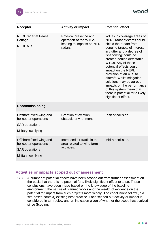

| <b>Receptor</b>                                                                                  | <b>Activity or impact</b>                                                               | <b>Potential effect</b>                                                                                                                                                                                                                                                                                                                                                                                                                                                           |
|--------------------------------------------------------------------------------------------------|-----------------------------------------------------------------------------------------|-----------------------------------------------------------------------------------------------------------------------------------------------------------------------------------------------------------------------------------------------------------------------------------------------------------------------------------------------------------------------------------------------------------------------------------------------------------------------------------|
| <b>NERL</b> radar at Pease<br>Pottage<br><b>NERL ATS</b>                                         | Physical presence and<br>operation of the WTGs<br>leading to impacts on NERL<br>radars. | WTGs in coverage areas of<br>NERL radar systems could<br>shield the radars from<br>genuine targets of interest<br>in clutter and a degree of<br>'shadowing' could be<br>created behind detectable<br>WTGs. Any of these<br>potential effects could<br>impact on the NERL<br>provision of an ATS to<br>aircraft. Whilst mitigation<br>solutions may be agreed,<br>impacts on the performance<br>of this system mean that<br>there is potential for a likely<br>significant effect. |
| <b>Decommissioning</b>                                                                           |                                                                                         |                                                                                                                                                                                                                                                                                                                                                                                                                                                                                   |
| Offshore fixed-wing and<br>helicopter operations<br><b>SAR</b> operations<br>Military low flying | Creation of aviation<br>obstacle environment.                                           | Risk of collision.                                                                                                                                                                                                                                                                                                                                                                                                                                                                |
| Offshore fixed-wing and<br>helicopter operations<br><b>SAR</b> operations<br>Military low flying | Increased air traffic in the<br>area related to wind farm<br>activities.                | Mid-air collision.                                                                                                                                                                                                                                                                                                                                                                                                                                                                |

## <span id="page-19-0"></span>**Activities or impacts scoped out of assessment**

15.4.13 A number of potential effects have been scoped out from further assessment on the basis that there is no potential for a likely significant effect to arise. These conclusions have been made based on the knowledge of the baseline environment, the nature of planned works and the wealth of evidence on the potential for impact from such projects more widely. The conclusions follow (in a site-based context) existing best practice. Each scoped out activity or impact is considered in turn below and an indication given of whether the scope has evolved since Scoping.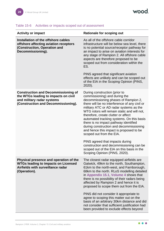| <b>Activity or impact</b>                                                                                                                               | <b>Rationale for scoping out</b>                                                                                                                                                                                                                                                                                                                                                                                                                                                                                                                                                                                                                              |  |
|---------------------------------------------------------------------------------------------------------------------------------------------------------|---------------------------------------------------------------------------------------------------------------------------------------------------------------------------------------------------------------------------------------------------------------------------------------------------------------------------------------------------------------------------------------------------------------------------------------------------------------------------------------------------------------------------------------------------------------------------------------------------------------------------------------------------------------|--|
| Installation of the offshore cables<br>offshore affecting aviation receptors<br>(Construction, Operation and<br>Decommissioning).                       | As all of the offshore cable corridor<br>infrastructure will be below sea level, there<br>is no potential source/receptor pathway for<br>an impact to arise on aviation interests for<br>any stage of Rampion 2. All offshore cable<br>aspects are therefore proposed to be<br>scoped out from consideration within the<br>ES.                                                                                                                                                                                                                                                                                                                                |  |
|                                                                                                                                                         | PINS agreed that significant aviation<br>effects are unlikely and can be scoped out<br>of the EIA in the Scoping Opinion (PINS,<br>$2020$ ).                                                                                                                                                                                                                                                                                                                                                                                                                                                                                                                  |  |
| <b>Construction and Decommissioning of</b><br>the WTGs leading to impacts on civil<br>and military radar systems<br>(Construction and Decommissioning). | During construction (prior to<br>commissioning) and during the<br>decommissioning phases of Rampion 2,<br>there will be no interference of any civil or<br>military ATC or AD radar systems as the<br>WTG rotors will remain static and will not,<br>therefore, create clutter or affect<br>automated tracking systems. On this basis<br>there is no impact pathway identified<br>during construction and decommissioning<br>and hence this impact is proposed to be<br>scoped out from the EIA.<br>PINS agreed that impacts during<br>construction and decommissioning can be<br>scoped out of the EIA on this basis in the<br>Scoping Opinion (PINS, 2020). |  |
| Physical presence and operation of the<br><b>WTGs leading to impacts on Licensed</b><br>Airfields with surveillance radar<br>(Operation).               | The closest radar equipped airfields are<br>Gatwick, 49km to the north, Southampton,<br>61km to the north-west, and Farnborough,<br>68km to the north. RLoS modelling detailed<br>in Appendix 15.1, Volume 4 shows that<br>there is no possibility of their radars being<br>affected by Rampion 2 and hence it is<br>proposed to scope them out from the EIA.<br>PINS did not consider it appropriate to<br>agree to scoping this matter out on the<br>basis of an arbitrary 30km distance and did<br>not consider that sufficient justification had<br>been provided to exclude effects beyond                                                               |  |

## <span id="page-20-0"></span>Table 15-6 Activities or impacts scoped out of assessment

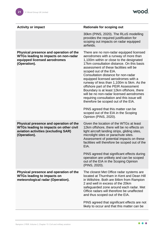| <b>Activity or impact</b>                                                                                                                      | <b>Rationale for scoping out</b>                                                                                                                                                                                                                                                                                                                                                                                                                                                                                                                                                                                                                                                                        |
|------------------------------------------------------------------------------------------------------------------------------------------------|---------------------------------------------------------------------------------------------------------------------------------------------------------------------------------------------------------------------------------------------------------------------------------------------------------------------------------------------------------------------------------------------------------------------------------------------------------------------------------------------------------------------------------------------------------------------------------------------------------------------------------------------------------------------------------------------------------|
|                                                                                                                                                | 30km (PINS, 2020). The RLoS modelling<br>provides the required justification for<br>scoping out impacts on radar equipped<br>airfields.                                                                                                                                                                                                                                                                                                                                                                                                                                                                                                                                                                 |
| Physical presence and operation of the<br><b>WTGs leading to impacts on non-radar</b><br>equipped licensed aerodromes<br>(Operation).          | There are no non-radar equipped licensed<br>aerodromes with a runway of more than<br>1,100m within or close to the designated<br>17km consultation distance. On this basis<br>assessment of these facilities will be<br>scoped out of the EIA.<br>Consultation distance for non-radar<br>equipped licensed aerodromes with a<br>runway of less than 1,100m is 5km. As the<br>offshore part of the PEIR Assessment<br>Boundary is at least 12km offshore, there<br>will be no non-radar licensed aerodromes<br>requiring consultation and this issue will<br>therefore be scoped out of the EIA.<br>PINS agreed that this matter can be<br>scoped out of the EIA in the Scoping<br>Opinion (PINS, 2020). |
| Physical presence and operation of the<br><b>WTGs leading to impacts on other civil</b><br>aviation activities (excluding SAR)<br>(Operation). | Given the location of the WTGs at least<br>12km offshore, there will be no effects on<br>light aircraft landing strips, gliding sites,<br>microlight sites or parachute sites.<br>Assessment of potential impacts on these<br>facilities will therefore be scoped out of the<br>EIA.<br>PINS agreed that significant effects during<br>operation are unlikely and can be scoped<br>out of the EIA in the Scoping Opinion<br>(PINS, 2020).                                                                                                                                                                                                                                                               |
| Physical presence and operation of the<br><b>WTGs leading to impacts on</b><br>meteorological radar (Operation).                               | The closest Met Office radar systems are<br>located at Thurnham in Kent and Dean Hill<br>in Wiltshire. Both are 84km from Rampion<br>2 and well in excess of the 20km<br>safeguarded zone around each radar. Met<br>Office radars will therefore be unaffected<br>and thus scoped out of the EIA.<br>PINS agreed that significant effects are not<br>likely to occur and that this matter can be                                                                                                                                                                                                                                                                                                        |

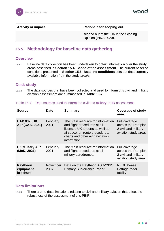**Activity or impact Rationale for scoping out** 

scoped out of the EIA in the Scoping Opinion (PINS,2020).

## <span id="page-22-0"></span>**15.5 Methodology for baseline data gathering**

#### <span id="page-22-1"></span>**Overview**

15.5.1 Baseline data collection has been undertaken to obtain information over the study areas described in **Section [15.4:](#page-15-1) Scope of the assessment**. The current baseline conditions presented in **Section [15.6:](#page-23-0) Baseline conditions** sets out data currently available information from the study area/s.

#### <span id="page-22-2"></span>**Desk study**

15.5.2 The data sources that have been collected and used to inform this civil and military aviation assessment are summarised in **[Table 15-7](#page-22-4)**.

| <b>Source</b>                            | <b>Date</b>      | <b>Summary</b>                                                                                                                                                                            | <b>Coverage of study</b><br>area                                                    |
|------------------------------------------|------------------|-------------------------------------------------------------------------------------------------------------------------------------------------------------------------------------------|-------------------------------------------------------------------------------------|
| <b>CAP 032: UK</b><br>AIP (CAA, 2021)    | February<br>2021 | The main resource for information<br>and flight procedures at all<br>licensed UK airports as well as<br>airspace, en route procedures,<br>charts and other air navigation<br>information. | Full coverage<br>across the Rampion<br>2 civil and military<br>aviation study area. |
| <b>UK Military AIP</b><br>(MoD, 2021)    | February<br>2021 | The main resource for information<br>and flight procedures at all<br>military aerodromes.                                                                                                 | Full coverage<br>across the Rampion<br>2 civil and military<br>aviation study area. |
| <b>Raytheon</b><br>equipment<br>brochure | November<br>2007 | Data on the Raytheon ASR-23SS<br><b>Primary Surveillance Radar</b>                                                                                                                        | <b>NERL Pease</b><br>Pottage radar<br>facility.                                     |

#### <span id="page-22-4"></span>Table 15-7 Data sources used to inform the civil and military PEIR assessment

#### <span id="page-22-3"></span>**Data limitations**

15.5.3 There are no data limitations relating to civil and military aviation that affect the robustness of the assessment of this PEIR.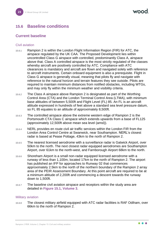## <span id="page-23-0"></span>**15.6 Baseline conditions**

## <span id="page-23-1"></span>**Current baseline**

#### Civil aviation

- 15.6.1 Rampion 2 is within the London Flight Information Region (FIR) for ATC, the airspace regulated by the UK CAA. The Proposed Development lies within uncontrolled Class G airspace with controlled, predominantly Class A, airspace above that. Class A controlled airspace is the most strictly regulated of the classes whereby aircraft are positively controlled by ATC. Compliance with ATC clearances is mandatory and aircraft are flown and navigated solely with reference to aircraft instruments. Certain onboard equipment is also a prerequisite. Flight in Class G airspace is generally visual, meaning that pilots fly and navigate with reference to the natural horizon and terrain features they see outside. Pilots are required to maintain minimum distances from notified obstacles, including WTGs, and may only fly within the minimum weather and visibility criteria.
- 15.6.2 The Class A airspace above Rampion 2 is designated as part of the Worthing Control Area (CTA) and the London Terminal Control Area (LTMA), with minimum base altitudes of between 5,500ft and Flight Level (FL) 85. An FL is an aircraft altitude expressed in hundreds of feet above a standard sea level pressure datum, so FL 85 equates to an altitude of approximately 8,500ft.
- 15.6.3 The controlled airspace above the extreme western edge of Rampion 2 is the Portsmouth CTA Class C airspace which extends upwards from a base of FL125 (approximately 12,500ft above mean sea level (amsl)).
- 15.6.4 NERL provides en route civil air traffic services within the London FIR from the London Area Control Centre at Swanwick, near Southampton. NERL's closest radar is based at Pease Pottage, 43km to the north of Rampion 2.
- 15.6.5 The nearest licensed aerodrome with a surveillance radar is Gatwick Airport, over 50km to the north. The next closest radar equipped aerodromes are Southampton Airport, over 61km to the north-west, and Farnborough Airport 68km to the north.
- 15.6.6 Shoreham Airport is a small non-radar equipped licensed aerodrome with a runway of less than 1,100m, located 17km to the north of Rampion 2. The airport has published an IFP for approaches to Runway 02 that commences approximately 2.5km to the north of the northern boundary of the Rampion 2 array area of the PEIR Assessment Boundary. At this point aircraft are required to be at a minimum altitude of 2,200ft and commencing a descent towards the runway down to 1,500ft.
- 15.6.7 The baseline civil aviation airspace and receptors within the study area are detailed in **Figure 15.1, Volume 3**.

#### Military aviation

15.6.8 The closest military airfield equipped with ATC radar facilities is RAF Odiham, over 66km to the north of Rampion 2.

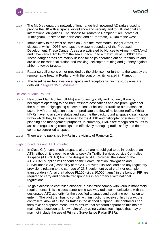- 15.6.9 The MoD safeguard a network of long range high powered AD radars used to provide the UK with airspace surveillance and security and to fulfil national and international obligations. The closest AD radars to Rampion 2 are located at Trimingham, 267km to the north-east, and at Portreath, 329km to the west.
- 15.6.10 Immediately to the west of Rampion 2 are the Portsmouth Danger Areas, the closest of which, D037, overlaps the western boundary of the Proposed Development. These Danger Areas are activated by Notices to Airmen (NOTAMs) and have vertical limits from the sea surface up to a maximum of 55,000ft amsl. These danger areas are mainly utilised for ships operating out of Portsmouth and are used for radar calibration and tracking, helicopter training and gunnery against airborne towed targets.
- 15.6.11 Radar surveillance is either provided by the ship itself, or further to the west by the remote radar head at Portland, with the control facility located in Plymouth.
- 15.6.12 The baseline military aviation airspace and receptors within the study area are detailed in **Figure 15.1, Volume 3**.

#### Helicopter Main Routes

- 15.6.13 Helicopter Main Routes (HMRs) are routes typically and routinely flown by helicopters operating to and from offshore destinations and are promulgated for the purpose of highlighting concentrations of helicopter traffic to other airspace users. HMR promulgation does not predicate the flow of helicopter traffic. Whilst HMRs have no airspace status and assume the background airspace classification within which they lie, they are used by the ANSP and helicopter operators for flight planning and management purposes. In summary, HMRs are recognised routes to assist in regularising routeings and effectively managing traffic safely and do not comprise controlled airspace.
- 15.6.14 There are no published HMRs in the vicinity of Rampion 2.

#### Flight procedures and ATS provided

- 15.6.15 In Class G (uncontrolled) airspace, aircraft are not obliged to be in receipt of an ATS, although it is open to pilots to seek Air Traffic Services outside Controlled Airspace (ATSOCAS) from the designated ATS provider: the extent of the ATSOCAS supplied will depend on the Communication, Navigation and Surveillance (CNS) capability of the ATS provider, its workload and any regulatory provisions relating to the carriage of CNS equipment by aircraft (for example, transponders). All aircraft above FL100 (circa 10,000ft amsl) in the London FIR are required to carry and operate transponders in accordance with national regulations.
- 15.6.16 To gain access to controlled airspace, a pilot must comply with various mandatory requirements. This includes establishing two-way radio communications with the designated ATC authority for the specified airspace and obtaining permission to enter it. The pilot then has to comply with instructions received. In this way, the controllers know of all the air traffic in the defined airspace. The controllers can then take appropriate measures to ensure that standard separation minima are maintained between all known aircraft by using various techniques that may or may not include the use of Primary Surveillance Radar (PSR).

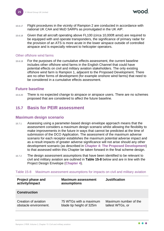. . .

- 15.6.17 Flight procedures in the vicinity of Rampion 2 are conducted in accordance with national UK CAA and MoD SARPs as promulgated in the UK AIP.
- 15.6.18 Given that all aircraft operating above FL100 (circa 10,000ft amsl) are required to be equipped with and operate transponders, the significance of primary radar for the provision of an ATS is more acute in the lower airspace outside of controlled airspace and is especially relevant to helicopter operators.

#### Other offshore wind farms

15.6.19 For the purposes of the cumulative effects assessment, the current baseline includes other offshore wind farms in the English Channel that could have potential effects on civil and military aviation stakeholders. The only existing offshore wind farm is Rampion 1, adjacent to the Proposed Development. There are no other forms of development (for example onshore wind farms) that need to be considered in a cumulative effects assessment.

#### <span id="page-25-0"></span>**Future baseline**

15.6.20 There is no expected change to airspace or airspace users. There are no schemes proposed that are considered to affect the future baseline.

## <span id="page-25-1"></span>**15.7 Basis for PEIR assessment**

#### <span id="page-25-2"></span>**Maximum design scenario**

- 15.7.1 Assessing using a parameter-based design envelope approach means that the assessment considers a maximum design scenario whilst allowing the flexibility to make improvements in the future in ways that cannot be predicted at the time of submission of the DCO Application. The assessment of the maximum adverse scenario for each receptor establishes the maximum potential adverse impact and as a result impacts of greater adverse significance will not arise should any other development scenario (as described in **Chapter 4: The Proposed Development**) to that assessed within this Chapter be taken forward in the final scheme design.
- 15.7.2 The design assessment assumptions that have been identified to be relevant to civil and military aviation are outlined in **[Table 15-8](#page-25-3)** below and are in line with the Project Design Envelope (**Chapter 4**).

| Project phase and<br>activity/impact          | <b>Maximum assessment</b><br>assumptions           | <b>Justification</b>                      |  |
|-----------------------------------------------|----------------------------------------------------|-------------------------------------------|--|
| <b>Construction</b>                           |                                                    |                                           |  |
| Creation of aviation<br>obstacle environment. | 75 WTGs with a maximum<br>blade tip height of 325m | Maximum number of the<br>tallest WTGs, or |  |

#### <span id="page-25-3"></span>Table 15-8 Maximum assessment assumptions for impacts on civil and military aviation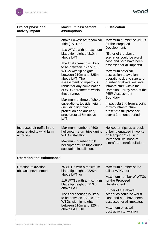

| <b>Project phase and</b><br>activity/impact                              | <b>Maximum assessment</b><br>assumptions                                                                                                                                  | <b>Justification</b>                                                                                                                                                                                      |  |
|--------------------------------------------------------------------------|---------------------------------------------------------------------------------------------------------------------------------------------------------------------------|-----------------------------------------------------------------------------------------------------------------------------------------------------------------------------------------------------------|--|
| above Lowest Astronomical<br>Tide (LAT), or                              |                                                                                                                                                                           | Maximum number of WTGs<br>for the Proposed<br>Development.                                                                                                                                                |  |
|                                                                          | 116 WTGs with a maximum<br>blade tip height of 210m<br>above LAT.                                                                                                         | (Either of the above<br>scenarios could be worst<br>case and both have been                                                                                                                               |  |
|                                                                          | The final scenario is likely<br>to be between 75 and 116                                                                                                                  | assessed for all impacts).                                                                                                                                                                                |  |
|                                                                          | WTGs with tip heights<br>between 210m and 325m<br>above LAT. The<br>assessment of impacts is<br>robust for any combination<br>of WTG parameters within<br>these ranges.   | Maximum physical<br>obstruction to aviation<br>operations due to size and<br>number of above sea level<br>infrastructure within the<br>Rampion 2 array area of the<br><b>PEIR Assessment</b><br>Boundary. |  |
|                                                                          | Maximum of three offshore<br>substations, topside height<br>(including lightning<br>protection and ancillary<br>structures) 115m above<br>LAT.                            | Impact starting from a point<br>of zero infrastructure<br>present to full presence<br>over a 24-month period.                                                                                             |  |
| Increased air traffic in the<br>area related to wind farm<br>activities. | Maximum number of 500<br>helicopter return trips during<br><b>WTG</b> installation.<br>Maximum number of 30<br>helicopter return trips during<br>substation installation. | Helicopter trips as a result<br>of being engaged in works<br>on Rampion 2 causing<br>increased likelihood of<br>aircraft-to-aircraft collision.                                                           |  |
| <b>Operation and Maintenance</b>                                         |                                                                                                                                                                           |                                                                                                                                                                                                           |  |
| Creation of aviation<br>obstacle environment.                            | 75 WTGs with a maximum<br>blade tip height of 325m                                                                                                                        | Maximum number of the<br>tallest WTGs, or                                                                                                                                                                 |  |
|                                                                          | above LAT, or<br>116 WTGs with a maximum<br>blade tip height of 210m                                                                                                      | Maximum number of WTGs<br>for the Proposed<br>Development.                                                                                                                                                |  |
|                                                                          | above LAT.<br>The final scenario is likely<br>to be between 75 and 116<br>WTGs with tip heights                                                                           | (Either of the above<br>scenarios could be worst<br>case and both have been<br>assessed for all impacts).                                                                                                 |  |
|                                                                          | between 210m and 325m<br>above LAT. The                                                                                                                                   | Maximum physical<br>obstruction to aviation                                                                                                                                                               |  |

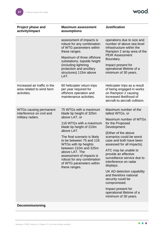

| <b>Project phase and</b><br>activity/impact                                    | <b>Maximum assessment</b><br>assumptions                                                                                                                                                                                                                                                                                                                                        | <b>Justification</b>                                                                                                                                                                                                                                                                                                                                                                                                                                                                                              |
|--------------------------------------------------------------------------------|---------------------------------------------------------------------------------------------------------------------------------------------------------------------------------------------------------------------------------------------------------------------------------------------------------------------------------------------------------------------------------|-------------------------------------------------------------------------------------------------------------------------------------------------------------------------------------------------------------------------------------------------------------------------------------------------------------------------------------------------------------------------------------------------------------------------------------------------------------------------------------------------------------------|
|                                                                                | assessment of impacts is<br>robust for any combination<br>of WTG parameters within<br>these ranges.<br>Maximum of three offshore<br>substations, topside height<br>(including lightning<br>protection and ancillary<br>structures) 115m above<br>LAT.                                                                                                                           | operations due to size and<br>number of above sea level<br>infrastructure within the<br>Rampion 2 array area of the<br><b>PEIR Assessment</b><br>Boundary.<br>Impact present for<br>operational lifetime of a<br>minimum of 30 years.                                                                                                                                                                                                                                                                             |
| Increased air traffic in the<br>area related to wind farm<br>activities.       | 60 helicopter return trips<br>per year required for<br>offshore operation and<br>maintenance activities.                                                                                                                                                                                                                                                                        | Helicopter trips as a result<br>of being engaged in works<br>on Rampion 2 causing<br>increased likelihood of<br>aircraft-to-aircraft collision.                                                                                                                                                                                                                                                                                                                                                                   |
| <b>WTGs causing permanent</b><br>interference on civil and<br>military radars. | 75 WTGs with a maximum<br>blade tip height of 325m<br>above LAT, or<br>116 WTGs with a maximum<br>blade tip height of 210m<br>above LAT.<br>The final scenario is likely<br>to be between 75 and 116<br>WTGs with tip heights<br>between 210m and 325m<br>above LAT. The<br>assessment of impacts is<br>robust for any combination<br>of WTG parameters within<br>these ranges. | Maximum number of the<br>tallest WTGs, or<br>Maximum number of WTGs<br>for the Proposed<br>Development.<br>(Either of the above<br>scenarios could be worst<br>case and both have been<br>assessed for all impacts).<br>ATC may be unable to<br>provide an effective<br>surveillance service due to<br>interference on radar<br>displays.<br>UK AD detection capability<br>and therefore national<br>security could be<br>compromised.<br>Impact present for<br>operational lifetime of a<br>minimum of 30 years. |

#### **Decommissioning**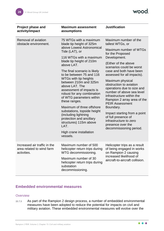

| <b>Project phase and</b><br>activity/impact                              | <b>Maximum assessment</b><br>assumptions                                                                                                                                                                                                                                                                                                                                                                                                                                                                                                                | <b>Justification</b>                                                                                                                                                                                                                                                                                                                                                                                                                                                                                               |  |
|--------------------------------------------------------------------------|---------------------------------------------------------------------------------------------------------------------------------------------------------------------------------------------------------------------------------------------------------------------------------------------------------------------------------------------------------------------------------------------------------------------------------------------------------------------------------------------------------------------------------------------------------|--------------------------------------------------------------------------------------------------------------------------------------------------------------------------------------------------------------------------------------------------------------------------------------------------------------------------------------------------------------------------------------------------------------------------------------------------------------------------------------------------------------------|--|
| Removal of aviation<br>obstacle environment.                             | 75 WTGs with a maximum<br>blade tip height of 325m<br>above Lowest Astronomical<br>Tide (LAT), or<br>116 WTGs with a maximum<br>blade tip height of 210m<br>above LAT.<br>The final scenario is likely<br>to be between 75 and 116<br>WTGs with tip heights<br>between 210m and 325m<br>above LAT. The<br>assessment of impacts is<br>robust for any combination<br>of WTG parameters within<br>these ranges.<br>Maximum of three offshore<br>substations, topside height<br>(including lightning<br>protection and ancillary<br>structures) 115m above | Maximum number of the<br>tallest WTGs, or<br>Maximum number of WTGs<br>for the Proposed<br>Development.<br>(Either of the above<br>scenarios could be worst<br>case and both have been<br>assessed for all impacts).<br>Maximum physical<br>obstruction to aviation<br>operations due to size and<br>number of above sea level<br>infrastructure within the<br>Rampion 2 array area of the<br><b>PEIR Assessment</b><br>Boundary.<br>Impact starting from a point<br>of full presence of<br>infrastructure to zero |  |
|                                                                          | LAT.<br>High crane installation<br>vessels.                                                                                                                                                                                                                                                                                                                                                                                                                                                                                                             | presence over the<br>decommissioning period.                                                                                                                                                                                                                                                                                                                                                                                                                                                                       |  |
| Increased air traffic in the<br>area related to wind farm<br>activities. | Maximum number of 500<br>helicopter return trips during<br>WTG decommissioning.<br>Maximum number of 30<br>helicopter return trips during<br>substation<br>decommissioning.                                                                                                                                                                                                                                                                                                                                                                             | Helicopter trips as a result<br>of being engaged in works<br>on Rampion 2 causing<br>increased likelihood of<br>aircraft-to-aircraft collision.                                                                                                                                                                                                                                                                                                                                                                    |  |

## <span id="page-28-0"></span>**Embedded environmental measures**

#### **Overview**

<span id="page-28-1"></span>15.7.3 As part of the Rampion 2 design process, a number of embedded environmental measures have been adopted to reduce the potential for impacts on civil and military aviation. These embedded environmental measures will evolve over the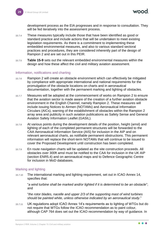development process as the EIA progresses and in response to consultation. They will be fed iteratively into the assessment process.

- 15.7.4 These measures typically include those that have been identified as good or standard practice and include actions that will be undertaken to meet existing legislation requirements. As there is a commitment to implementing these embedded environmental measures, and also to various standard sectoral practices and procedures, they are considered inherently part of the design of Rampion 2 and are set out in this PEIR.
- <span id="page-29-1"></span>15.7.5 **[Table 15-9](#page-32-0)** sets out the relevant embedded environmental measures within the design and how these affect the civil and military aviation assessment.

#### Information, notifications and charting

- 15.7.6 Rampion 2 will create an obstacle environment which can effectively be mitigated by compliance with appropriate international and national requirements for the promulgation of the obstacle locations on charts and in aeronautical documentation, together with the permanent marking and lighting of obstacles.
- 15.7.7 Measures will be adopted at the commencement of works on Rampion 2 to ensure that the aviation sector is made aware of the creation of a further aviation obstacle environment in the English Channel, namely Rampion 2. These measures will include issuing Notices to Airmen (NOTAMs) and Aeronautical Information Circulars (AICs), warning of the establishment of obstacles within the Rampion 2 array area and publicity in such aviation publications as Safety Sense and General Aviation Safety Information Leaflet (GASIL).
- 15.7.8 At various points during the development details of the position, height (amsl) and lighting of each of the completed permanent structures will be forwarded to the CAA Aeronautical Information Service (AIS) for inclusion in the AIP and on relevant aeronautical charts, as notifiable permanent obstructions. This permanent information will replace the short-term NOTAMs that will continue to be issued to cover the Proposed Development until construction has been completed.
- <span id="page-29-0"></span>15.7.9 En route navigation charts will be updated as the site construction proceeds. All obstacles over 300ft amsl must be notified to the CAA for inclusion in the UK AIP (section ENR5.4) and on aeronautical maps and to Defence Geographic Centre for inclusion in MoD databases.

#### Marking and lighting

15.7.10 The international marking and lighting requirement, set out in ICAO Annex 14, specifies that:

"*a wind turbine shall be marked and/or lighted if it is determined to be an obstacle*"; and

"*the rotor blades, nacelle and upper 2/3 of the supporting mast of wind turbines should be painted white, unless otherwise indicated by an aeronautical study*."

15.7.11 UK regulations adopt ICAO Annex 14's requirements as to lighting of WTGs but do not require that WTGs follow the ICAO recommendation as to paint colour, although CAP 764 does set out the ICAO recommendation by way of guidance. In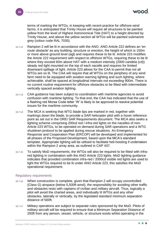rood

terms of marking the WTGs, in keeping with recent practice for offshore wind farms, it is anticipated that Trinity House will require all structures to be painted yellow from the level of Highest Astronomical Tide (HAT) to a height directed by Trinity House, and above the yellow section all WTGs will be painted submarine grey (colour code RAL 7035).

- 15.7.12 Rampion 2 will be lit in accordance with the ANO. ANO Article 222 defines an 'en route obstacle' as any building, structure or erection, the height of which is 150m or more above ground level (agl) and requires these to be lit. Article 223 modifies the Article 222 requirement with respect to offshore WTGs, requiring these to be lit where they exceed 60m above HAT with a medium intensity (2000 candela (cd)) steady red light mounted on the top of each nacelle and requires for limited downward spillage of light. Article 223 allows for the CAA to permit that not all WTGs are so lit. The CAA will require that all WTGs on the periphery of any wind farm need to be equipped with aviation warning lighting and such lighting, where achievable, shall be spaced at longitudinal intervals not exceeding 900m. There is no current routine requirement for offshore obstacles to be fitted with intermediate vertically spaced aviation lighting.
- 15.7.13 CAA guidance has been subject to coordination with maritime agencies to avoid confusion with maritime lighting. To that end, the CAA has indicated that the use of a flashing red Morse Code letter 'W' is likely to be approved to resolve potential issues for the maritime community.
- <span id="page-30-0"></span>15.7.14 The MCA is seeking that WTG blade tips are marked in red, together with markings down the blade, to provide a SAR helicopter pilot with a hover reference point as set out in the OREI SAR Requirements document. The MCA also seeks a lighting scheme comprising 200cd red / infra-red lights on the nacelles of non-Article 223 WTGs, to be operated on demand during SAR operations and a WTG shutdown protocol to be applied during rescue situations. An Emergency Response and Cooperation Plan (ERCOP) will be developed and implemented for all phases of the Proposed Development, based upon the MCA's standard template. Appropriate lighting will be utilised to facilitate heli-hoisting if undertaken within the Rampion 2 array area, as outlined in CAP 437.
- 15.7.15 To satisfy MoD requirements, the WTGs will also be required to be fitted with infrared lighting in combination with the ANO Article 223 lights. MoD lighting guidance indicates that provided combination infra-red / 2000cd visible red lights are used to light the WTGs required to be lit under ANO Article 223, this satisfies the MoD operational requirement.

#### Regulatory requirements

- 15.7.16 When construction is complete, given that Rampion 2 will occupy uncontrolled (Class G) airspace (below 5,500ft amsl), the responsibility for avoiding other traffic and obstacles rests with captains of civilian and military aircraft. Thus, logically a pilot will avoid the charted areas, and individually lit WTGs and any other obstacles, laterally or vertically, by the legislated standard minimum separation distance of 500ft.
- <span id="page-30-1"></span>15.7.17 Military operations are subject to separate rules sponsored by the MoD. Pilots of military aircraft will be required to ensure that a Minimum Separation Distance of 250ft from any person, vessel, vehicle, or structure exists whilst operating in the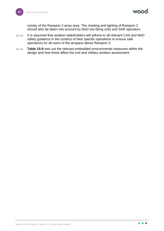wood

vicinity of the Rampion 2 array area. The charting and lighting of Rampion 2 should also be taken into account by MoD low flying units and SAR operators.

- <span id="page-31-0"></span>15.7.18 It is assumed that aviation stakeholders will adhere to all relevant CAA and MoD safety guidance in the conduct of their specific operations to ensure safe operations for all users of the airspace above Rampion 2.
- 15.7.19 **[Table 15-9](#page-32-0)** sets out the relevant embedded environmental measures within the design and how these affect the civil and military aviation assessment.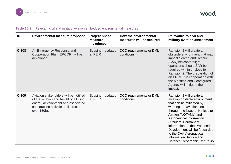wood.

#### Table 15-9 Relevant civil and military aviation embedded environmental measures

<span id="page-32-0"></span>

| ID      | <b>Environmental measure proposed</b>                                                                                                                                            | <b>Project phase</b><br>measure<br>introduced | How the environmental<br>measures will be secured | <b>Relevance to civil and</b><br>military aviation assessment                                                                                                                                                                                                                                                                                                                                   |
|---------|----------------------------------------------------------------------------------------------------------------------------------------------------------------------------------|-----------------------------------------------|---------------------------------------------------|-------------------------------------------------------------------------------------------------------------------------------------------------------------------------------------------------------------------------------------------------------------------------------------------------------------------------------------------------------------------------------------------------|
| $C-108$ | An Emergency Response and<br>Cooperation Plan (ERCOP) will be<br>developed.                                                                                                      | Scoping - updated<br>at PEIR                  | DCO requirements or DML<br>conditions.            | Rampion 2 will create an<br>obstacle environment that may<br>impact Search and Rescue<br>(SAR) helicopter flight<br>operations should SAR be<br>required within or close to<br>Rampion 2. The preparation of<br>an ERCOP in cooperation with<br>the Maritime and Coastguard<br>Agency will mitigate the<br>impact.                                                                              |
| $C-109$ | Aviation stakeholders will be notified<br>of the location and height of all wind<br>energy development and associated<br>construction activities (all structures<br>over 150ft). | Scoping - updated<br>at PEIR                  | DCO requirements or DML<br>conditions.            | Rampion 2 will create an<br>aviation obstacle environment<br>that can be mitigated by<br>warning the aviation sector<br>through the issue of Notices to<br>Airmen (NOTAMs) and<br>Aeronautical Information<br>Circulars. Permanent<br>information on the Proposed<br>Development will be forwarded<br>to the CAA Aeronautical<br><b>Information Service and</b><br>Defence Geographic Centre so |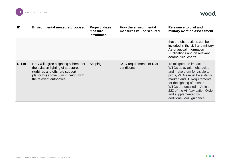

wood.

| ID      | <b>Environmental measure proposed</b>                                                                                                                                             | <b>Project phase</b><br>measure<br>introduced | How the environmental<br>measures will be secured | Relevance to civil and<br>military aviation assessment                                                                                                                                                                                                                                                         |
|---------|-----------------------------------------------------------------------------------------------------------------------------------------------------------------------------------|-----------------------------------------------|---------------------------------------------------|----------------------------------------------------------------------------------------------------------------------------------------------------------------------------------------------------------------------------------------------------------------------------------------------------------------|
|         |                                                                                                                                                                                   |                                               |                                                   | that the obstructions can be<br>included in the civil and military<br>Aeronautical Information<br>Publications and on relevant<br>aeronautical charts.                                                                                                                                                         |
| $C-110$ | RED will agree a lighting scheme for<br>the aviation lighting of structures<br>(turbines and offshore support<br>platforms) above 60m in height with<br>the relevant authorities. | Scoping                                       | DCO requirements or DML<br>conditions.            | To mitigate the impact of<br>WTGs as aviation obstacles<br>and make them for visible to<br>pilots, WTGs must be suitably<br>marked and lit. Requirements<br>for the lighting of offshore<br>WTGs are detailed in Article<br>223 of the Air Navigation Order<br>and supplemented by<br>additional MoD guidance. |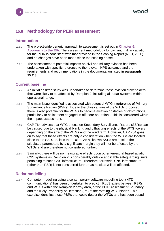## <span id="page-34-0"></span>**15.8 Methodology for PEIR assessment**

#### <span id="page-34-1"></span>**Introduction**

- 15.8.1 The project-wide generic approach to assessment is set out in **Chapter 5: Approach to the EIA**. The assessment methodology for civil and military aviation for the PEIR is consistent with that provided in the Scoping Report (RED, 2020) and no changes have been made since the scoping phase.
- 15.8.2 The assessment of potential impacts on civil and military aviation has been undertaken with specific reference to the relevant NPS guidance and the requirements and recommendations in the documentation listed in **paragraph [15.2.3](#page-7-1)**.

#### <span id="page-34-2"></span>**Current baseline**

- 15.8.3 An initial desktop study was undertaken to determine those aviation stakeholders that were likely to be affected by Rampion 2, including all radar systems within operational range.
- 15.8.4 The main issue identified is associated with potential WTG interference of Primary Surveillance Radars (PSRs). Due to the physical size of the WTGs proposed, there is also potential for the WTGs to become aviation obstacles or obstructions, particularly to helicopters engaged in offshore operations. This is considered within the impact assessment.
- 15.8.5 CAP 764 advises that WTG effects on Secondary Surveillance Radars (SSRs) can be caused due to the physical blanking and diffracting effects of the WTG towers depending on the size of the WTGs and the wind farm. However, CAP 764 goes on to say that these effects are only a consideration when the WTGs are located close to the SSR, i.e. less than 10km. As all known SSRs are outside the stipulated parameters by a significant margin they will not be affected by the WTGs and are therefore not considered further.
- 15.8.6 Similarly, there will be no measurable effects upon other terrestrial based aviation CNS systems as Rampion 2 is considerably outside applicable safeguarding limits pertaining to such CNS infrastructure. Therefore, terrestrial CNS infrastructure (other than PSR) is not considered further, as no sites will be affected.

#### <span id="page-34-3"></span>**Radar modelling**

15.8.7 Computer modelling using a contemporary software modelling tool (HTZ communications) has been undertaken to predict if RLoS exists between PSRs and WTGs within the Rampion 2 array area, of the PEIR Assessment Boundary and the likely Probability of Detection (Pd) of the rotating WTG blades. This exercise identifies those PSRs that could detect the WTGs and has been based

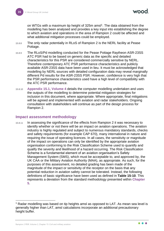on WTGs with a maximum tip height of 325m amsl<sup>1</sup>. The data obtained from the modelling has been analysed and provides a key input into establishing the degree to which aviation and operations in the area of Rampion 2 could be affected and what additional mitigation processes could be employed.

- 15.8.8 The only radar potentially in RLoS of Rampion 2 is the NERL facility at Pease Pottage.
- 15.8.9 The RLoS/Pd modelling conducted for the Pease Pottage Raytheon ASR-23SS ATC PSR had to be based on generic data as the specific and detailed characteristics for this PSR are considered commercially sensitive by NERL. Therefore contemporary ATC PSR performance characteristics and publicly available ASR-23SS data have been used in lieu. It must be acknowledged that modelling by NERL sources with detailed configuration data may reveal marginally different Pd results for the ASR-23SS PSR. However, confidence is very high that the PSR performance characteristics used have a high level of compatibility with the ATC PSR performance.
- 15.8.10 **Appendix 15.1, Volume 4** details the computer modelling undertaken and uses the outputs of the modelling to determine potential mitigation strategies for inclusion in this document, where appropriate. Where appropriate, final mitigations will be agreed and implemented with aviation and radar stakeholders. Ongoing consultation with stakeholders will continue as part of the design process for Rampion 2.

#### <span id="page-35-0"></span>**Impact assessment methodology**

<span id="page-35-1"></span>15.8.11 In assessing the significance of the effects from Rampion 2 it was necessary to identify whether or not there will be an impact on aviation operations. The aviation industry is highly regulated and subject to numerous mandatory standards, checks and safety requirements (for example CAP 670), many international in nature and requiring the issue of operating licences. In all cases, the sensitivity or magnitude of the impact on operations can only be identified by the appropriate aviation organisation conforming to the Risk Classification Scheme used to quantify and qualify the severity and likelihood of a hazard occurring. The Risk Classification Scheme is a fundamental element of an aviation organisation's Safety Management System (SMS), which must be acceptable to, and approved by, the UK CAA or the Military Aviation Authority (MAA), as appropriate. As such, for the purposes of this assessment, no detailed grading has been made of the magnitude of the impact or sensitivity of the receptor on the basis that any potential reduction in aviation safety cannot be tolerated. Instead, the following definitions of basic significance have been used as defined in **[Table 15-10](#page-36-2)**. This represents a deviation from the standard methodology presented within **Chapter 5**.

<sup>&</sup>lt;sup>1</sup> Radar modelling was based on tip heights amsl as opposed to LAT. As mean sea level is generally higher than LAT, amsl calculations incorporate an additional precautionary height buffer.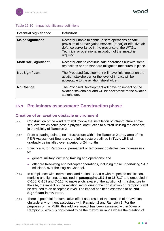| // | Ő | 10 | ۱ |
|----|---|----|---|
|    |   |    |   |

#### <span id="page-36-2"></span>Table 15-10 Impact significance definitions

| <b>Potential significance</b> | <b>Definition</b>                                                                                                                                                                                                                              |
|-------------------------------|------------------------------------------------------------------------------------------------------------------------------------------------------------------------------------------------------------------------------------------------|
| <b>Major Significant</b>      | Receptor unable to continue safe operations or safe<br>provision of air navigation services (radar) or effective air<br>defence surveillance in the presence of the WTGs.<br>Technical or operational mitigation of the impact is<br>required. |
| <b>Moderate Significant</b>   | Receptor able to continue safe operations but with some<br>restrictions or non-standard mitigation measures in place.                                                                                                                          |
| <b>Not Significant</b>        | The Proposed Development will have little impact on the<br>aviation stakeholder, or the level of impact will be<br>acceptable to the aviation stakeholder.                                                                                     |
| No Change                     | The Proposed Development will have no impact on the<br>aviation stakeholder and will be acceptable to the aviation<br>stakeholder.                                                                                                             |

## <span id="page-36-0"></span>**15.9 Preliminary assessment: Construction phase**

#### <span id="page-36-1"></span>**Creation of an aviation obstacle environment**

- 15.9.1 Construction of the wind farm will involve the installation of infrastructure above sea level which could pose a physical obstruction to aircraft utilising the airspace in the vicinity of Rampion 2.
- 15.9.2 From a starting point of no infrastructure within the Rampion 2 array area of the PEIR Assessment Boundary, the infrastructure outlined in **[Table 15-8](#page-25-3)** will gradually be installed over a period of 24 months.
- 15.9.3 Specifically, for Rampion 2, permanent or temporary obstacles can increase risk to:
	- general military low flying training and operations; and
	- ⚫ offshore fixed-wing and helicopter operations, including those undertaking SAR missions, over the English Channel.
- 15.9.4 In compliance with international and national SARPs with respect to notification, marking and lighting, as outlined in **paragraphs [15.7.5](#page-29-1)** to **[15.7.17](#page-30-1)** and embodied in C-108, C-109 and C-110, to make pilots aware of the addition of infrastructure to the site, the impact on the aviation sector during the construction of Rampion 2 will be reduced to an acceptable level. The impact has been assessed to be **Not Significant** in EIA terms.
- 15.9.5 There is potential for cumulative effect as a result of the creation of an aviation obstacle environment associated with Rampion 2 and Rampion 1. For the purposes of this PEIR, this additive impact has been assessed within 50km of Rampion 2, which is considered to be the maximum range where the creation of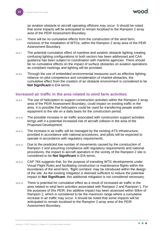an aviation obstacle to aircraft operating offshore may occur. It should be noted that some impacts will be anticipated to remain localised to the Rampion 2 array area of the PEIR Assessment Boundary.

- 15.9.6 There will be no cumulative effects from the construction of the wind farm, inclusive of the installation of WTGs, within the Rampion 2 array area of the PEIR Assessment Boundary.
- 15.9.7 The potential cumulative effect of maritime and aviation obstacle lighting creating confusing lighting configurations to both sectors has been addressed and CAA guidance has been subject to coordination with maritime agencies. There should be no cumulative effects on the impact of surface obstacles on aviation operations as compliant markings and lighting will be provided.
- 15.9.8 Through the use of embedded environmental measures such as effective lighting, reliance on pilot competence and consideration of charted obstacles, the cumulative effect from the creation of an obstacle environment is considered to be **Not Significant** in EIA terms.

#### <span id="page-37-0"></span>**Increased air traffic in the area related to wind farm activities**

- 15.9.9 The use of helicopters to support construction activities within the Rampion 2 array area of the PEIR Assessment Boundary, could impact on existing traffic in the area. It is possible that helicopters could be used for transferring people and/or equipment to the site on a daily basis for the construction period.
- 15.9.10 The possible increase in air traffic associated with construction support activities brings with it a potential increased risk of aircraft collision in the area of the Proposed Development.
- 15.9.11 The increase in air traffic will be managed by the existing ATS infrastructure, provided in accordance with national procedures, and pilots will be expected to operate in accordance with regulatory requirements.
- 15.9.12 Due to the predicted low number of movements caused by the construction of Rampion 2 and assuming compliance with regulatory requirements and national procedures, the impact to aircraft operators in the vicinity of the Rampion 2 site is considered to be **Not Significant** in EIA terms.
- 15.9.13 CAP 764 suggests that, for the purpose of transiting WTG developments under Visual Flight Rules and facilitating construction or maintenance flights within the boundaries of the wind farm, 'flight corridors' may be introduced within the design of the site. As the existing mitigation is deemed sufficient to reduce the potential impact to **Not Significant**, this additional mitigation is not considered necessary.
- 15.9.14 There is potential for cumulative effect as a result of increased air traffic in the area related to wind farm activities associated with Rampion 2 and Rampion 1. For the purposes of this PEIR, this additive impact has been assessed within 50km of Rampion 2, which is considered to be the maximum range where a cumulative increase in air traffic may occur. It should be noted that some impacts will be anticipated to remain localised to the Rampion 2 array area of the PEIR Assessment Boundary.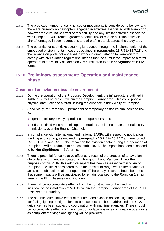- 15.9.15 The predicted number of daily helicopter movements is considered to be low, and there are currently no helicopters engaged in activities associated with Rampion 1, however the cumulative effect of this activity and any similar activities associated with Rampion 1 will create a greater potential risk of mid-air collision between aircraft engaged in such operations and aircraft in transit across the study area.
- 15.9.16 The potential for such risks occurring is reduced through the implementation of the embedded environmental measures outlined in **paragraphs [15.7.3](#page-28-1)** to **[15.7.18](#page-31-0)** and the reliance on pilots not engaged in works in direct relation to Rampion 2 to comply with civil aviation regulations, means that the cumulative impact to aircraft operators in the vicinity of Rampion 2 is considered to be **Not Significant** in EIA terms.

## <span id="page-38-0"></span>**15.10 Preliminary assessment: Operation and maintenance phase**

#### <span id="page-38-1"></span>**Creation of an aviation obstacle environment**

- 15.10.1 During the operation of the Proposed Development, the infrastructure outlined in **[Table 15-8](#page-25-3)** will be present within the Rampion 2 array area. This could pose a physical obstruction to aircraft utilising the airspace in the vicinity of Rampion 2.
- 15.10.2 Specifically, for Rampion 2, permanent or temporary obstacles can increase risk to:
	- ⚫ general military low flying training and operations; and
	- ⚫ offshore fixed-wing and helicopter operations, including those undertaking SAR missions, over the English Channel.
- 15.10.3 In compliance with international and national SARPs with respect to notification, marking and lighting, as outlined in **paragraphs [15.7.5](#page-29-1)** to **[15.7.17](#page-30-1)** and embodied in C-108, C-109 and C-110, the impact on the aviation sector during the operation of Rampion 2 will be reduced to an acceptable level. The impact has been assessed to be **Not Significant** in EIA terms.
- 15.10.4 There is potential for cumulative effect as a result of the creation of an aviation obstacle environment associated with Rampion 2 and Rampion 1. For the purposes of this PEIR, this additive impact has been assessed within 50km of Rampion 2, which is considered to be the maximum range where the creation of an aviation obstacle to aircraft operating offshore may occur. It should be noted that some impacts will be anticipated to remain localised to the Rampion 2 array area of the PEIR Assessment Boundary.
- 15.10.5 There will be no cumulative effects from the construction of the wind farm, inclusive of the installation of WTGs, within the Rampion 2 array area of the PEIR Assessment Boundary.
- 15.10.6 The potential cumulative effect of maritime and aviation obstacle lighting creating confusing lighting configurations to both sectors has been addressed and CAA guidance has been subject to coordination with maritime agencies. There should be no cumulative effects on the impact of surface obstacles on aviation operations as compliant markings and lighting will be provided.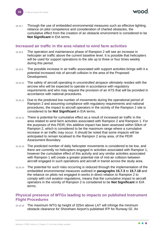15.10.7 Through the use of embedded environmental measures such as effective lighting, reliance on pilot competence and consideration of charted obstacles, the cumulative effect from the creation of an obstacle environment is considered to be **Not Significant** in EIA terms.

#### <span id="page-39-0"></span>**Increased air traffic in the area related to wind farm activities**

- 15.10.8 The operation and maintenance phase of Rampion 2 will see an increase in helicopter air traffic above the current baseline level. It is possible that helicopters will be used for support operations to the site up to three or four times weekly during this period.
- 15.10.9 The possible increase in air traffic associated with support activities brings with it a potential increased risk of aircraft collision in the area of the Proposed Development.
- 15.10.10 The safety of aircraft operating in uncontrolled airspace ultimately resides with the aircrew who will be expected to operate in accordance with regulatory requirements and who may request the provision of an ATS that will be provided in accordance with national procedures.
- <span id="page-39-2"></span>15.10.11 Due to the predicted low number of movements during the operational period of Rampion 2 and assuming compliance with regulatory requirements and national procedures, the impact to aircraft operators in the vicinity of the Rampion 2 site is considered to be **Not Significant** in EIA terms.
- 15.10.12 There is potential for cumulative effect as a result of increased air traffic in the area related to wind farm activities associated with Rampion 2 and Rampion 1. For the purposes of this PEIR, this additive impact has been assessed within 50km of Rampion 2, which is considered to be the maximum range where a cumulative increase in air traffic may occur. It should be noted that some impacts will be anticipated to remain localised to the Rampion 2 array area, of the PEIR Assessment Boundary.
- 15.10.13 The predicted number of daily helicopter movements is considered to be low, and there are currently no helicopters engaged in activities associated with Rampion 1, however the cumulative effect of this activity and any similar activities associated with Rampion 1 will create a greater potential risk of mid-air collision between aircraft engaged in such operations and aircraft in transit across the study area.
- 15.10.14 The potential for such risks occurring is reduced through the implementation of the embedded environmental measures outlined in **paragraphs [15.7.3](#page-28-1)** to **[15.7.18](#page-31-0)** and the reliance on pilots not engaged in works in direct relation to Rampion 2 to comply with civil aviation regulations, means that the cumulative impact to aircraft operators in the vicinity of Rampion 2 is considered to be **Not Significant** in EIA terms.

#### <span id="page-39-1"></span>**Physical presence of WTGs leading to impacts on published Instrument Flight Procedures**

15.10.15 The maximum WTG tip height of 325m above LAT will infringe the minimum obstacle clearance for Shoreham Airport's published IFP for Runway 02. An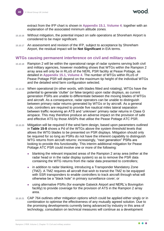nood

extract from the IFP chart is shown in **Appendix 15.1**, **Volume 4**, together with an explanation of the associated minimum altitude zones.

- 15.10.16 Without mitigation, the potential impact on safe operations at Shoreham Airport is considered to be major significant.
- <span id="page-40-1"></span>15.10.17 An assessment and revision of the IFP, subject to acceptance by Shoreham Airport, the residual impact will be **Not Significant** in EIA terms.

#### <span id="page-40-0"></span>**WTGs causing permanent interference on civil and military radars**

- 15.10.18 Rampion 2 will be within the operational range of radar systems serving both civil and military agencies, however modelling shows that WTGs within the Rampion 2 array area will only be in RLoS of the NERL PSR facility at Pease Pottage, as detailed in **Appendix 15.1, Volume 4**. The number of WTGs within RLoS of Pease Pottage PSR will depend on the maximum tip height of the individual WTGs and the detailed wind farm configuration selected.
- 15.10.19 When operational (in other words, with blades fitted and rotating), WTGs have the potential to generate 'clutter' (or false targets) upon radar displays, as current generation PSRs are unable to differentiate between the moving blades of WTGs and aircraft. As a consequence, radar operators can be unable to distinguish between primary radar returns generated by WTGs or by aircraft. As a general rule, controllers are required to provide five nautical miles lateral separation between traffic receiving an ATS and 'unknown' primary radar returns in Class G airspace. This may therefore produce an adverse impact on the provision of safe and effective ATS by those ANSPs that utilise the Pease Pottage ATC PSR.
- 15.10.20 Mitigation will be required if the wind farm design, based upon parameters outlined in **[Table 15-8](#page-25-3)** shows a Pd of the WTGs above the system threshold levels that allows the WTG blades to be presented on PSR displays. Mitigation should only be required for so long as PSRs do not have the inherent capability to distinguish WTG returns from aircraft returns: increasingly, "next generation" PSRs are looking to provide this functionality. This interim additional mitigation for Pease Pottage ATC PSR could involve one or more of the following:
	- blanking the relevant impacted areas of the Rampion 2 array area (either at the radar head or in the radar display system) so as to remove the PSR data containing the WTG returns from the radar data presented to controllers;
	- in addition to radar blanking, introducing a Transponder Mandatory Zone (TMZ). A TMZ requires all aircraft that wish to transit the TMZ to be equipped with SSR transponders to enable controllers to track aircraft through what will otherwise be a "black hole" in primary surveillance cover; or
	- ⚫ using alternative PSRs (for example Gatwick Airport and NERL's Bovingdon facility) to provide coverage for the provision of ATS in the Rampion 2 array area.
- 15.10.21 CAP 764 outlines other mitigation options which could be applied either singly or in combination to optimise the effectiveness of any mutually agreed solution. Due to the promising developments currently being advanced by industry in this area of technology, consultation on technical measures will continue as a development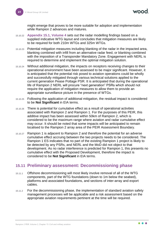might emerge that proves to be more suitable for adoption and implementation while Rampion 2 advances and matures.

- 15.10.22 **Appendix 15.1, Volume 4** sets out the radar modelling findings based on a supplied indicative WTG layout and concludes that mitigation measures are likely to be required for both 210m WTGs and 325m WTGs.
- 15.10.23 Potential mitigation measures including blanking of the radar in the impacted area, blanking combined with infill from an alternative radar feed, or blanking combined with the imposition of a Transponder Mandatory Zone. Engagement with NERL is required to determine and implement the optimal mitigation solution.
- 15.10.24 Without additional mitigation, the impacts on receptors receiving changes to their operational environment have been assessed to be major significant. However, it is anticipated that the potential risk posed to aviation operations could be wholly and successfully mitigated through various technical solutions applied to the current generation Pease Pottage PSR. It is anticipated that during the operational life of Rampion 2 NERL will procure "next generation" PSRs which should not require the application of mitigation measures to allow them to provide an appropriate surveillance picture in the presence of WTGs.
- 15.10.25 Following the application of additional mitigation, the residual impact is considered to be **Not Significant** in EIA terms.
- 15.10.26 There is potential for cumulative effect as a result of operational activities associated with Rampion 2 and Rampion 1. For the purposes of this PEIR, this additive impact has been assessed within 50km of Rampion 2, which is considered to be the maximum range where aviation and radar cumulative effect may occur. It should be noted that some impacts will be anticipated to remain localised to the Rampion 2 array area of the PEIR Assessment Boundary.
- 15.10.27 Rampion 1 is adjacent to Rampion 2 and therefore the potential for an adverse cumulative effect accruing between the two projects needs to be considered. The Rampion 1 ES indicates that no part of the existing Rampion 1 project is likely to be detected by any PSRs, and NERL and the MoD did not object to that development. As no radar interference is predicted for Rampion 1, this presents no cumulative effect with the Proposed Development, therefore the impact is considered to be **Not Significant** in EIA terms.

## <span id="page-41-0"></span>**15.11 Preliminary assessment: Decommissioning phase**

- 15.11.1 Offshore decommissioning will most likely involve removal of all of the WTG components, part of the WTG foundations (down to 1m below the seabed), platforms and associated foundations, and sections of inter-array and export cables.
- 15.11.2 For the decommissioning phase, the implementation of standard aviation safety management processes will be applicable and a risk assessment based on the appropriate aviation requirements pertinent at the time will be required.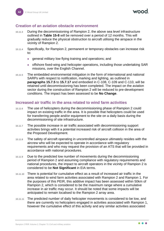#### <span id="page-42-0"></span>**Creation of an aviation obstacle environment**

- 15.11.3 During the decommissioning of Rampion 2, the above sea level infrastructure outlined in **[Table 15-8](#page-25-3)** will be removed over a period of 12 months. This will gradually reduce the physical obstruction to aircraft utilising the airspace in the vicinity of Rampion 2.
- 15.11.4 Specifically, for Rampion 2, permanent or temporary obstacles can increase risk to:
	- ⚫ general military low flying training and operations; and
	- ⚫ offshore fixed-wing and helicopter operations, including those undertaking SAR missions, over the English Channel.
- 15.11.5 The embedded environmental mitigation in the form of international and national SARPs with respect to notification, marking and lighting, as outlined in **paragraphs 15.7.5** to **15.7.17** and embodied in C-108, C-109 and C-110, will be retained until decommissioning has been completed. The impact on the aviation sector during the construction of Rampion 2 will be reduced to pre-development conditions. The impact has been assessed to be **No Change**.

#### <span id="page-42-1"></span>**Increased air traffic in the area related to wind farm activities**

- 15.11.6 The use of helicopters during the decommissioning phase of Rampion 2 could impact on existing traffic in the area. It is possible that helicopters could be used for transferring people and/or equipment to the site on a daily basis during the decommissioning of site infrastructure.
- 15.11.7 The possible increase in air traffic associated with decommissioning support activities brings with it a potential increased risk of aircraft collision in the area of the Proposed Development.
- 15.11.8 The safety of aircraft operating in uncontrolled airspace ultimately resides with the aircrew who will be expected to operate in accordance with regulatory requirements and who may request the provision of an ATS that will be provided in accordance with national procedures.
- 15.11.9 Due to the predicted low number of movements during the decommissioning period of Rampion 2 and assuming compliance with regulatory requirements and national procedures, the impact to aircraft operators in the vicinity of Rampion 2 is considered to be **Not Significant** in EIA terms.
- 15.11.10 There is potential for cumulative effect as a result of increased air traffic in the area related to wind farm activities associated with Rampion 2 and Rampion 1. For the purposes of this PEIR, this additive impact has been assessed within 50km of Rampion 2, which is considered to be the maximum range where a cumulative increase in air traffic may occur. It should be noted that some impacts will be anticipated to remain localised to the Rampion 2 array area.
- 15.11.11 The predicted number of daily helicopter movements is considered to be low, and there are currently no helicopters engaged in activities associated with Rampion 1, however the cumulative effect of this activity and any similar activities associated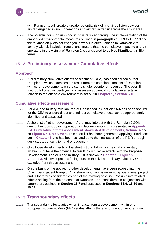with Rampion 1 will create a greater potential risk of mid-air collision between aircraft engaged in such operations and aircraft in transit across the study area.

15.11.12 The potential for such risks occurring is reduced through the implementation of the embedded environmental measures outlined in **paragraphs [15.7.3](#page-28-1)** to **[15.7.18](#page-31-0)** and the reliance on pilots not engaged in works in direct relation to Rampion 2 to comply with civil aviation regulations, means that the cumulative impact to aircraft operators in the vicinity of Rampion 2 is considered to be **Not Significant** in EIA terms.

## <span id="page-43-0"></span>**15.12 Preliminary assessment: Cumulative effects**

## <span id="page-43-1"></span>**Approach**

15.12.1 A preliminary cumulative effects assessment (CEA) has been carried out for Rampion 2 which examines the result from the combined impacts of Rampion 2 with other developments on the same single receptor or resource. The overall method followed in identifying and assessing potential cumulative effects in relation to the offshore environment is set out in **Chapter 5, Section 5.10**.

#### <span id="page-43-2"></span>**Cumulative effects assessment**

- 15.12.2 For civil and military aviation, the ZOI described in **Section [15.4](#page-15-1)** has been applied for the CEA to ensure direct and indirect cumulative effects can be appropriately identified and assessed.
- 15.12.3 A short list of 'other developments' that may interact with the Rampion 2 ZOIs during their construction, operation or decommissioning is presented in **Appendix 5.4: Cumulative effects assessment shortlisted developments, Volume 4** and on **Figure 5.4.1, Volume 4**. This short list has been generated applying criteria set out in **Chapter 5** and has been collated up to the finalisation of the PEIR through desk study, consultation and engagement.
- 15.12.4 Only those developments in the short list that fall within the civil and military aviation ZOI have the potential to result in cumulative effects with the Proposed Development. The civil and military ZOI is shown in **Chapter 5**, **Figure 5.1, Volume 3**. All developments falling outside the civil and military aviation ZOI are excluded from this assessment.
- 15.12.5 On the basis of the above, no other developments have been scoped into the CEA. The adjacent Rampion 1 offshore wind farm is an existing operational project and is therefore considered as part of the existing baseline. Possible interrelated effects arising from the presence of Rampion 1 are considered in conjunction with parameters outlined in **Section [15.7](#page-25-1)** and assessed in **Sections [15.9](#page-36-0)**, **[15.10](#page-38-0)** and **[15.11](#page-41-0)**.

## <span id="page-43-3"></span>**15.13 Transboundary effects**

15.13.1 Transboundary effects arise when impacts from a development within one European Economic Area (EEA) states affects the environment of another EEA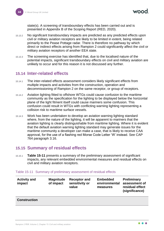state(s). A screening of transboundary effects has been carried out and is presented in Appendix B of the Scoping Report (RED, 2020).

- 15.13.2 No significant transboundary impacts are predicted as any predicted effects upon civil or military aviation receptors are likely to be limited in extent, being related primarily to the Pease Pottage radar. There is therefore no pathway by which direct or indirect effects arising from Rampion 2 could significantly affect the civil or military aviation receptors of another EEA state.
- 15.13.3 The screening exercise has identified that, due to the localised nature of the potential impacts, significant transboundary effects on civil and military aviation are unlikely to occur and for this reason it is not discussed any further.

## <span id="page-44-0"></span>**15.14 Inter-related effects**

- 15.14.1 The inter-related effects assessment considers likely significant effects from multiple impacts and activities from the construction, operation and decommissioning of Rampion 2 on the same receptor, or group of receptors.
- 15.14.2 Aviation lighting fitted to offshore WTGs could cause confusion to the maritime community as the specification for the lighting to be displayed below the horizontal plane of the light fitment itself could cause mariners some confusion. This confusion could result in WTGs with conflicting warning lighting representing a collision risk to maritime surface vessels.
- 15.14.3 Work has been undertaken to develop an aviation warning lighting standard where, from the nature of the lighting, it will be apparent to mariners that the aviation lighting is clearly distinguishable from maritime lighting. Where it is evident that the default aviation warning lighting standard may generate issues for the maritime community a developer can make a case, that is likely to receive CAA approval, for the use of a flashing red Morse Code Letter 'W' instead. See CAP 764 paragraph 3.16.

## <span id="page-44-1"></span>**15.15 Summary of residual effects**

15.15.1 **[Table 15-11](#page-44-2)** presents a summary of the preliminary assessment of significant impacts, any relevant embedded environmental measures and residual effects on civil and military aviation receptors.

| <b>Activity and</b><br>impact | <b>Magnitude</b><br>of impact | <b>Receptor and</b><br>sensitivity or<br>value | <b>Embedded</b><br>environmental<br>measures | <b>Preliminary</b><br>assessment of<br>residual effect<br>(significance) |
|-------------------------------|-------------------------------|------------------------------------------------|----------------------------------------------|--------------------------------------------------------------------------|
| <b>Construction</b>           |                               |                                                |                                              |                                                                          |

#### <span id="page-44-2"></span>Table 15-11 Summary of preliminary assessment of residual effects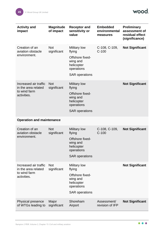| <b>Activity and</b><br>impact                                               | <b>Magnitude</b><br>of impact | <b>Receptor and</b><br>sensitivity or<br>value                                                                    | <b>Embedded</b><br>environmental<br>measures | <b>Preliminary</b><br>assessment of<br>residual effect<br>(significance) |
|-----------------------------------------------------------------------------|-------------------------------|-------------------------------------------------------------------------------------------------------------------|----------------------------------------------|--------------------------------------------------------------------------|
| Creation of an<br>aviation obstacle<br>environment.                         | <b>Not</b><br>significant     | <b>Military low</b><br>flying<br>Offshore fixed-<br>wing and<br>helicopter<br>operations<br><b>SAR</b> operations | C-108, C-109,<br>$C-100$                     | <b>Not Significant</b>                                                   |
| Increased air traffic<br>in the area related<br>to wind farm<br>activities. | <b>Not</b><br>significant     | <b>Military low</b><br>flying<br>Offshore fixed-<br>wing and<br>helicopter<br>operations<br><b>SAR</b> operations |                                              | <b>Not Significant</b>                                                   |
| <b>Operation and maintenance</b>                                            |                               |                                                                                                                   |                                              |                                                                          |
| Creation of an<br>aviation obstacle<br>environment.                         | <b>Not</b><br>significant     | <b>Military low</b><br>flying<br>Offshore fixed-<br>wing and<br>helicopter<br>operations<br><b>SAR</b> operations | C-108, C-109,<br>$C-100$                     | <b>Not Significant</b>                                                   |
| Increased air traffic<br>in the area related<br>to wind farm<br>activities. | <b>Not</b><br>significant     | <b>Military low</b><br>flying<br>Offshore fixed-<br>wing and<br>helicopter<br>operations<br><b>SAR</b> operations |                                              | <b>Not Significant</b>                                                   |
| Physical presence<br>of WTGs leading to                                     | Major<br>significant          | Shoreham<br>Airport                                                                                               | Assessment/<br>revision of IFP               | <b>Not Significant</b>                                                   |

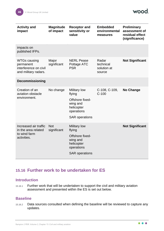**wood** 

| <b>Activity and</b><br>impact                                                     | <b>Magnitude</b><br>of impact | <b>Receptor and</b><br>sensitivity or<br>value                                                                    | <b>Embedded</b><br>environmental<br>measures | <b>Preliminary</b><br>assessment of<br>residual effect<br>(significance) |
|-----------------------------------------------------------------------------------|-------------------------------|-------------------------------------------------------------------------------------------------------------------|----------------------------------------------|--------------------------------------------------------------------------|
| impacts on<br>published IFPs.                                                     |                               |                                                                                                                   |                                              |                                                                          |
| <b>WTGs causing</b><br>permanent<br>interference on civil<br>and military radars. | Major<br>significant          | <b>NERL Pease</b><br>Pottage ATC<br><b>PSR</b>                                                                    | Radar<br>technical<br>solution at<br>source  | <b>Not Significant</b>                                                   |
| <b>Decommissioning</b>                                                            |                               |                                                                                                                   |                                              |                                                                          |
| Creation of an<br>aviation obstacle<br>environment.                               | No change                     | <b>Military low</b><br>flying<br>Offshore fixed-<br>wing and<br>helicopter<br>operations<br><b>SAR</b> operations | C-108, C-109,<br>$C-100$                     | <b>No Change</b>                                                         |
| Increased air traffic<br>in the area related<br>to wind farm<br>activities.       | <b>Not</b><br>significant     | <b>Military low</b><br>flying<br>Offshore fixed-<br>wing and<br>helicopter<br>operations<br><b>SAR</b> operations |                                              | <b>Not Significant</b>                                                   |

## <span id="page-46-0"></span>**15.16 Further work to be undertaken for ES**

#### <span id="page-46-1"></span>**Introduction**

15.16.1 Further work that will be undertaken to support the civil and military aviation assessment and presented within the ES is set out below.

## <span id="page-46-2"></span>**Baseline**

15.16.2 Data sources consulted when defining the baseline will be reviewed to capture any updates.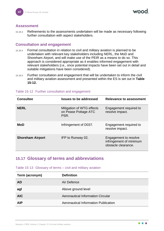#### <span id="page-47-0"></span>**Assessment**

15.16.3 Refinements to the assessments undertaken will be made as necessary following further consultation with aspect stakeholders.

#### <span id="page-47-1"></span>**Consultation and engagement**

- 15.16.4 Formal consultation in relation to civil and military aviation is planned to be undertaken with relevant key stakeholders including NERL, the MoD and Shoreham Airport, and will make use of the PEIR as a means to do so. This approach is considered appropriate as it enables informed engagement with relevant stakeholders (i.e., once potential impacts have been set out in detail and suitable mitigations have been considered).
- 15.16.5 Further consultation and engagement that will be undertaken to inform the civil and military aviation assessment and presented within the ES is set out in **[Table](#page-47-3)  [15-12.](#page-47-3)**

| <b>Consultee</b>        | <b>Issues to be addressed</b>                             | Relevance to assessment                                                 |
|-------------------------|-----------------------------------------------------------|-------------------------------------------------------------------------|
| <b>NERL</b>             | Mitigation of WTG effects<br>on Pease Pottage ATC<br>PSR. | Engagement required to<br>resolve impact.                               |
| <b>MoD</b>              | Infringement of D037.                                     | Engagement required to<br>resolve impact.                               |
| <b>Shoreham Airport</b> | IFP to Runway 02.                                         | Engagement to resolve<br>infringement of minimum<br>obstacle clearance. |

#### <span id="page-47-3"></span>Table 15-12 Further consultation and engagement

## <span id="page-47-2"></span>**15.17 Glossary of terms and abbreviations**

Table 15-13 Glossary of terms – civil and military aviation

| Term (acronym) | <b>Definition</b>                    |
|----------------|--------------------------------------|
| <b>AD</b>      | Air Defence                          |
| agl            | Above ground level                   |
| <b>AIC</b>     | Aeronautical Information Circular    |
| <b>AIP</b>     | Aeronautical Information Publication |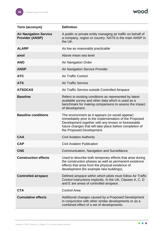wood.

| Term (acronym)                                          | <b>Definition</b>                                                                                                                                                                                                                                         |
|---------------------------------------------------------|-----------------------------------------------------------------------------------------------------------------------------------------------------------------------------------------------------------------------------------------------------------|
| <b>Air Navigation Service</b><br><b>Provider (ANSP)</b> | A public or private entity managing air traffic on behalf of<br>a company, region or country. NATS is the main ANSP in<br>the UK.                                                                                                                         |
| <b>ALARP</b>                                            | As low as reasonably practicable                                                                                                                                                                                                                          |
| amsl                                                    | Above mean sea level                                                                                                                                                                                                                                      |
| <b>ANO</b>                                              | <b>Air Navigation Order</b>                                                                                                                                                                                                                               |
| <b>ANSP</b>                                             | <b>Air Navigation Service Provider</b>                                                                                                                                                                                                                    |
| <b>ATC</b>                                              | <b>Air Traffic Control</b>                                                                                                                                                                                                                                |
| <b>ATS</b>                                              | <b>Air Traffic Service</b>                                                                                                                                                                                                                                |
| <b>ATSOCAS</b>                                          | Air Traffic Service outside Controlled Airspace                                                                                                                                                                                                           |
| <b>Baseline</b>                                         | Refers to existing conditions as represented by latest<br>available survey and other data which is used as a<br>benchmark for making comparisons to assess the impact<br>of development.                                                                  |
| <b>Baseline conditions</b>                              | The environment as it appears (or would appear)<br>immediately prior to the implementation of the Proposed<br>Development together with any known or foreseeable<br>future changes that will take place before completion of<br>the Proposed Development. |
| <b>CAA</b>                                              | <b>Civil Aviation Authority</b>                                                                                                                                                                                                                           |
| <b>CAP</b>                                              | <b>Civil Aviation Publication</b>                                                                                                                                                                                                                         |
| <b>CNS</b>                                              | Communication, Navigation and Surveillance                                                                                                                                                                                                                |
| <b>Construction effects</b>                             | Used to describe both temporary effects that arise during<br>the construction phases as well as permanent existence<br>effects that arise from the physical existence of<br>development (for example new buildings).                                      |
| <b>Controlled airspace</b>                              | Defined airspace within which pilots must follow Air Traffic<br>Control instructions implicitly. In the UK, Classes A, C, D<br>and E are areas of controlled airspace.                                                                                    |
| <b>CTA</b>                                              | <b>Control Area</b>                                                                                                                                                                                                                                       |
| <b>Cumulative effects</b>                               | Additional changes caused by a Proposed Development<br>in conjunction with other similar developments or as a<br>combined effect of a set of developments.                                                                                                |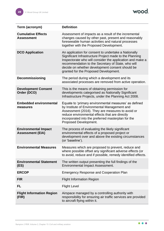wood.

| Term (acronym)                                         | <b>Definition</b>                                                                                                                                                                                                                                                                                                              |
|--------------------------------------------------------|--------------------------------------------------------------------------------------------------------------------------------------------------------------------------------------------------------------------------------------------------------------------------------------------------------------------------------|
| <b>Cumulative Effects</b><br><b>Assessment</b>         | Assessment of impacts as a result of the incremental<br>changes caused by other past, present and reasonably<br>foreseeable human activities and natural processes<br>together with the Proposed Development.                                                                                                                  |
| <b>DCO Application</b>                                 | An application for consent to undertake a Nationally<br>Significant Infrastructure Project made to the Planning<br>Inspectorate who will consider the application and make a<br>recommendation to the Secretary of State, who will<br>decide on whether development consent should be<br>granted for the Proposed Development. |
| <b>Decommissioning</b>                                 | The period during which a development and its<br>associated processes are removed from active operation.                                                                                                                                                                                                                       |
| <b>Development Consent</b><br>Order (DCO)              | This is the means of obtaining permission for<br>developments categorised as Nationally Significant<br>Infrastructure Projects, under the Planning Act 2008.                                                                                                                                                                   |
| <b>Embedded environmental</b><br>measures              | Equate to 'primary environmental measures' as defined<br>by Institute of Environmental Management and<br>Assessment (2016). They are measures to avoid or<br>reduce environmental effects that are directly<br>incorporated into the preferred masterplan for the<br>Proposed Development.                                     |
| <b>Environmental Impact</b><br><b>Assessment (EIA)</b> | The process of evaluating the likely significant<br>environmental effects of a proposed project or<br>development over and above the existing circumstances<br>(or 'baseline').                                                                                                                                                |
| <b>Environmental Measures</b>                          | Measures which are proposed to prevent, reduce and<br>where possible offset any significant adverse effects (or<br>to avoid, reduce and if possible, remedy identified effects.                                                                                                                                                |
| <b>Environmental Statement</b><br>(ES)                 | The written output presenting the full findings of the<br><b>Environmental Impact Assessment.</b>                                                                                                                                                                                                                              |
| <b>ERCOP</b>                                           | <b>Emergency Response and Cooperation Plan</b>                                                                                                                                                                                                                                                                                 |
| <b>FIR</b>                                             | <b>Flight Information Region</b>                                                                                                                                                                                                                                                                                               |
| <b>FL</b>                                              | <b>Flight Level</b>                                                                                                                                                                                                                                                                                                            |
| <b>Flight Information Region</b><br>(FIR)              | Airspace managed by a controlling authority with<br>responsibility for ensuring air traffic services are provided<br>to aircraft flying within it.                                                                                                                                                                             |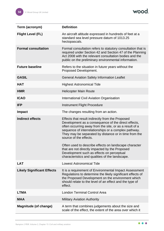wood.

| Term (acronym)                    | <b>Definition</b>                                                                                                                                                                                                                                                                                                                                                                                                                                                                                                        |
|-----------------------------------|--------------------------------------------------------------------------------------------------------------------------------------------------------------------------------------------------------------------------------------------------------------------------------------------------------------------------------------------------------------------------------------------------------------------------------------------------------------------------------------------------------------------------|
| <b>Flight Level (FL)</b>          | An aircraft altitude expressed in hundreds of feet at a<br>standard sea level pressure datum of 1013.25<br>hectopascals.                                                                                                                                                                                                                                                                                                                                                                                                 |
| <b>Formal consultation</b>        | Formal consultation refers to statutory consultation that is<br>required under Section 42 and Section 47 of the Planning<br>Act 2008 with the relevant consultation bodies and the<br>public on the preliminary environmental information.                                                                                                                                                                                                                                                                               |
| <b>Future baseline</b>            | Refers to the situation in future years without the<br>Proposed Development.                                                                                                                                                                                                                                                                                                                                                                                                                                             |
| <b>GASIL</b>                      | <b>General Aviation Safety Information Leaflet</b>                                                                                                                                                                                                                                                                                                                                                                                                                                                                       |
| <b>HAT</b>                        | <b>Highest Astronomical Tide</b>                                                                                                                                                                                                                                                                                                                                                                                                                                                                                         |
| <b>HMR</b>                        | <b>Helicopter Main Route</b>                                                                                                                                                                                                                                                                                                                                                                                                                                                                                             |
| <b>ICAO</b>                       | International Civil Aviation Organisation                                                                                                                                                                                                                                                                                                                                                                                                                                                                                |
| <b>IFP</b>                        | <b>Instrument Flight Procedure</b>                                                                                                                                                                                                                                                                                                                                                                                                                                                                                       |
| <b>Impact</b>                     | The changes resulting from an action.                                                                                                                                                                                                                                                                                                                                                                                                                                                                                    |
| <b>Indirect effects</b>           | Effects that result indirectly from the Proposed<br>Development as a consequence of the direct effects,<br>often occurring away from the site, or as a result of a<br>sequence of interrelationships or a complex pathway.<br>They may be separated by distance or in time from the<br>source of the effects.<br>Often used to describe effects on landscape character<br>that are not directly impacted by the Proposed<br>Development such as effects on perceptual<br>characteristics and qualities of the landscape. |
| <b>LAT</b>                        | <b>Lowest Astronomical Tide</b>                                                                                                                                                                                                                                                                                                                                                                                                                                                                                          |
| <b>Likely Significant Effects</b> | It is a requirement of Environmental Impact Assessment<br>Regulations to determine the likely significant effects of<br>the Proposed Development on the environment which<br>should relate to the level of an effect and the type of<br>effect.                                                                                                                                                                                                                                                                          |
| <b>LTMA</b>                       | <b>London Terminal Control Area</b>                                                                                                                                                                                                                                                                                                                                                                                                                                                                                      |
| <b>MAA</b>                        | <b>Military Aviation Authority</b>                                                                                                                                                                                                                                                                                                                                                                                                                                                                                       |
| <b>Magnitude (of change)</b>      | A term that combines judgements about the size and<br>scale of the effect, the extent of the area over which it                                                                                                                                                                                                                                                                                                                                                                                                          |

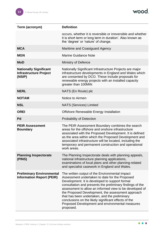wood.

| Term (acronym)                                                           | <b>Definition</b>                                                                                                                                                                                                                                                                                                                                                                                                                                                                                        |
|--------------------------------------------------------------------------|----------------------------------------------------------------------------------------------------------------------------------------------------------------------------------------------------------------------------------------------------------------------------------------------------------------------------------------------------------------------------------------------------------------------------------------------------------------------------------------------------------|
|                                                                          | occurs, whether it is reversible or irreversible and whether<br>it is short term or long term in duration'. Also known as<br>the 'degree' or 'nature' of change.                                                                                                                                                                                                                                                                                                                                         |
| <b>MCA</b>                                                               | Maritime and Coastguard Agency                                                                                                                                                                                                                                                                                                                                                                                                                                                                           |
| <b>MGN</b>                                                               | <b>Marine Guidance Note</b>                                                                                                                                                                                                                                                                                                                                                                                                                                                                              |
| <b>MoD</b>                                                               | <b>Ministry of Defence</b>                                                                                                                                                                                                                                                                                                                                                                                                                                                                               |
| <b>Nationally Significant</b><br><b>Infrastructure Project</b><br>(NSIP) | Nationally Significant Infrastructure Projects are major<br>infrastructure developments in England and Wales which<br>are consented by DCO. These include proposals for<br>renewable energy projects with an installed capacity<br>greater than 100MW.                                                                                                                                                                                                                                                   |
| <b>NERL</b>                                                              | NATS (En Route) plc                                                                                                                                                                                                                                                                                                                                                                                                                                                                                      |
| <b>NOTAM</b>                                                             | Notice to Airmen                                                                                                                                                                                                                                                                                                                                                                                                                                                                                         |
| <b>NSL</b>                                                               | <b>NATS (Services) Limited</b>                                                                                                                                                                                                                                                                                                                                                                                                                                                                           |
| <b>OREI</b>                                                              | <b>Offshore Renewable Energy Installation</b>                                                                                                                                                                                                                                                                                                                                                                                                                                                            |
| Pd                                                                       | <b>Probability of Detection</b>                                                                                                                                                                                                                                                                                                                                                                                                                                                                          |
| <b>PEIR Assessment</b><br><b>Boundary</b>                                | The PEIR Assessment Boundary combines the search<br>areas for the offshore and onshore infrastructure<br>associated with the Proposed Development. It is defined<br>as the area within which the Proposed Development and<br>associated infrastructure will be located, including the<br>temporary and permanent construction and operational<br>work areas.                                                                                                                                             |
| <b>Planning Inspectorate</b><br>(PINS)                                   | The Planning Inspectorate deals with planning appeals,<br>national infrastructure planning applications,<br>examinations of local plans and other planning-related<br>and specialist casework in England and Wales.                                                                                                                                                                                                                                                                                      |
| <b>Preliminary Environmental</b><br><b>Information Report (PEIR)</b>     | The written output of the Environmental Impact<br>Assessment undertaken to date for the Proposed<br>Development. It is developed to support formal<br>consultation and presents the preliminary findings of the<br>assessment to allow an informed view to be developed of<br>the Proposed Development, the assessment approach<br>that has been undertaken, and the preliminary<br>conclusions on the likely significant effects of the<br>Proposed Development and environmental measures<br>proposed. |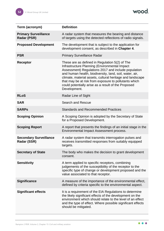wood.

| Term (acronym)                               | <b>Definition</b>                                                                                                                                                                                                                                                                                                                                                                                              |
|----------------------------------------------|----------------------------------------------------------------------------------------------------------------------------------------------------------------------------------------------------------------------------------------------------------------------------------------------------------------------------------------------------------------------------------------------------------------|
| <b>Primary Surveillance</b><br>Radar (PSR)   | A radar system that measures the bearing and distance<br>of targets using the detected reflections of radio signals.                                                                                                                                                                                                                                                                                           |
| <b>Proposed Development</b>                  | The development that is subject to the application for<br>development consent, as described in Chapter 4.                                                                                                                                                                                                                                                                                                      |
| <b>PSR</b>                                   | <b>Primary Surveillance Radar</b>                                                                                                                                                                                                                                                                                                                                                                              |
| Receptor                                     | These are as defined in Regulation 5(2) of The<br>Infrastructure Planning (Environmental Impact<br>Assessment) Regulations 2017 and include population<br>and human health, biodiversity, land, soil, water, air,<br>climate, material assets, cultural heritage and landscape<br>that may be at risk from exposure to pollutants which<br>could potentially arise as a result of the Proposed<br>Development. |
| <b>RLoS</b>                                  | Radar Line of Sight                                                                                                                                                                                                                                                                                                                                                                                            |
| <b>SAR</b>                                   | <b>Search and Rescue</b>                                                                                                                                                                                                                                                                                                                                                                                       |
| <b>SARPS</b>                                 | <b>Standards and Recommended Practices</b>                                                                                                                                                                                                                                                                                                                                                                     |
| <b>Scoping Opinion</b>                       | A Scoping Opinion is adopted by the Secretary of State<br>for a Proposed Development.                                                                                                                                                                                                                                                                                                                          |
| <b>Scoping Report</b>                        | A report that presents the findings of an initial stage in the<br>Environmental Impact Assessment process.                                                                                                                                                                                                                                                                                                     |
| <b>Secondary Surveillance</b><br>Radar (SSR) | A radar system that transmits interrogation pulses and<br>receives transmitted responses from suitably equipped<br>targets.                                                                                                                                                                                                                                                                                    |
| <b>Secretary of State</b>                    | The body who makes the decision to grant development<br>consent.                                                                                                                                                                                                                                                                                                                                               |
| <b>Sensitivity</b>                           | A term applied to specific receptors, combining<br>judgements of the susceptibility of the receptor to the<br>specific type of change or development proposed and the<br>value associated to that receptor.                                                                                                                                                                                                    |
| <b>Significance</b>                          | A measure of the importance of the environmental effect,<br>defined by criteria specific to the environmental aspect.                                                                                                                                                                                                                                                                                          |
| <b>Significant effects</b>                   | It is a requirement of the EIA Regulations to determine<br>the likely significant effects of the development on the<br>environment which should relate to the level of an effect<br>and the type of effect. Where possible significant effects<br>should be mitigated.                                                                                                                                         |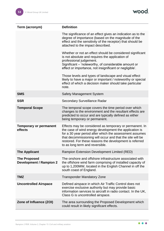wood.

| Term (acronym)                                        | <b>Definition</b>                                                                                                                                                                                                                                                                                                                       |
|-------------------------------------------------------|-----------------------------------------------------------------------------------------------------------------------------------------------------------------------------------------------------------------------------------------------------------------------------------------------------------------------------------------|
|                                                       | The significance of an effect gives an indication as to the<br>degree of importance (based on the magnitude of the<br>effect and the sensitivity of the receptor) that should be<br>attached to the impact described.                                                                                                                   |
|                                                       | Whether or not an effect should be considered significant<br>is not absolute and requires the application of<br>professional judgement.<br>Significant – 'noteworthy, of considerable amount or<br>effect or importance, not insignificant or negligible'.<br>Those levels and types of landscape and visual effect                     |
|                                                       | likely to have a major or important / noteworthy or special<br>effect of which a decision maker should take particular<br>note.                                                                                                                                                                                                         |
| <b>SMS</b>                                            | <b>Safety Management System</b>                                                                                                                                                                                                                                                                                                         |
| <b>SSR</b>                                            | <b>Secondary Surveillance Radar</b>                                                                                                                                                                                                                                                                                                     |
| <b>Temporal Scope</b>                                 | The temporal scope covers the time period over which<br>changes to the environment and the resultant effects are<br>predicted to occur and are typically defined as either<br>being temporary or permanent.                                                                                                                             |
| <b>Temporary or permanent</b><br>effects              | Effects may be considered as temporary or permanent. In<br>the case of wind energy development the application is<br>for a 30 year period after which the assessment assumes<br>that decommissioning will occur and that the site will be<br>restored. For these reasons the development is referred<br>to as long term and reversible. |
| <b>The Applicant</b>                                  | Rampion Extension Development Limited (RED)                                                                                                                                                                                                                                                                                             |
| <b>The Proposed</b><br><b>Development / Rampion 2</b> | The onshore and offshore infrastructure associated with<br>the offshore wind farm comprising of installed capacity of<br>up to 1,200MW, located in the English Channel in off the<br>south coast of England.                                                                                                                            |
| <b>TMZ</b>                                            | <b>Transponder Mandatory Zone</b>                                                                                                                                                                                                                                                                                                       |
| <b>Uncontrolled Airspace</b>                          | Defined airspace in which Air Traffic Control does not<br>exercise exclusive authority but may provide basic<br>information services to aircraft in radio contact. In the UK,<br>Class G is uncontrolled airspace.                                                                                                                      |
| Zone of Influence (ZOI)                               | The area surrounding the Proposed Development which<br>could result in likely significant effects.                                                                                                                                                                                                                                      |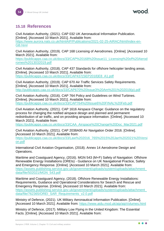## <span id="page-54-0"></span>**15.18 References**

Civil Aviation Authority, (2021). CAP 032 UK Aeronautical Information Publication. [Online]. [Accessed 10 March 2021]. Available from: [https://www.aurora.nats.co.uk/htmlAIP/Publications/2021-02-25-AIRAC/html/index-en-](https://www.aurora.nats.co.uk/htmlAIP/Publications/2021-02-25-AIRAC/html/index-en-GB.html)[GB.html](https://www.aurora.nats.co.uk/htmlAIP/Publications/2021-02-25-AIRAC/html/index-en-GB.html)

Civil Aviation Authority, (2019). CAP 168 Licensing of Aerodromes. [Online]. [Accessed 10 March 2021]. Available from:

[https://publicapps.caa.co.uk/docs/33/CAP%20168%20Issue11\\_Licensing%20of%20Aerod](https://publicapps.caa.co.uk/docs/33/CAP%20168%20Issue11_Licensing%20of%20Aerodromes%2013032019.pdf) [romes%2013032019.pdf](https://publicapps.caa.co.uk/docs/33/CAP%20168%20Issue11_Licensing%20of%20Aerodromes%2013032019.pdf)

Civil Aviation Authority, (2018). CAP 437 Standards for offshore helicopter landing areas. [Online]. [Accessed 10 March 2021]. Available from: [https://publicapps.caa.co.uk/docs/33/CAP437\(SEP2018\)E8\\_A1.pdf](https://publicapps.caa.co.uk/docs/33/CAP437(SEP2018)E8_A1.pdf)

Civil Aviation Authority, (2019). CAP 670 Air Traffic Services Safety Requirements. [Online]. [Accessed 10 March 2021]. Available from: [http://publicapps.caa.co.uk/docs/33/CAP670%20Issue3%20Am%201%202019\(p\).pdf](http://publicapps.caa.co.uk/docs/33/CAP670%20Issue3%20Am%201%202019(p).pdf)

Civil Aviation Authority, (2016). CAP 764 Policy and Guidelines on Wind Turbines. [Online]. [Accessed 10 March 2021]. Available from: <https://publicapps.caa.co.uk/docs/33/CAP764%20Issue6%20FINAL%20Feb.pdf>

Civil Aviation Authority, (2021). CAP 1616 Airspace Change: Guidance on the regulatory process for changing the notified airspace design and planned and permanent redistribution of air traffic, and on providing airspace information. [Online]. [Accessed 10 March 2021]. Available from:

[https://publicapps.caa.co.uk/docs/33/CAA\\_Airspace%20Change%20Doc\\_Mar2021.pdf](https://publicapps.caa.co.uk/docs/33/CAA_Airspace%20Change%20Doc_Mar2021.pdf)

Civil Aviation Authority, (2021). CAP 2038A00 Air Navigation Order 2016. [Online]. [Accessed 10 March 2021]. Available from:

[https://publicapps.caa.co.uk/docs/33/Law%202016\\_765%2015%20Jan%202021%20Versi](https://publicapps.caa.co.uk/docs/33/Law%202016_765%2015%20Jan%202021%20Version.pdf) [on.pdf](https://publicapps.caa.co.uk/docs/33/Law%202016_765%2015%20Jan%202021%20Version.pdf)

International Civil Aviation Organisation, (2018). Annex 14 Aerodrome Design and Operations.

Maritime and Coastguard Agency, (2016). MGN 543 (M+F) Safety of Navigation: Offshore Renewable Energy Installations (OREIs) - Guidance on UK Navigational Practice, Safety and Emergency Response. [Online]. [Accessed 10 March 2021]. Available from: [https://assets.publishing.service.gov.uk/government/uploads/system/uploads/attachment\\_](https://assets.publishing.service.gov.uk/government/uploads/system/uploads/attachment_data/file/502021/MGN_543.pdf) [data/file/502021/MGN\\_543.pdf](https://assets.publishing.service.gov.uk/government/uploads/system/uploads/attachment_data/file/502021/MGN_543.pdf)

Maritime and Coastguard Agency, (2018). Offshore Renewable Energy Installations: Requirements, Guidance and Operational Considerations for Search and Rescue and Emergency Response. [Online]. [Accessed 10 March 2021]. Available from: [https://assets.publishing.service.gov.uk/government/uploads/system/uploads/attachment\\_](https://assets.publishing.service.gov.uk/government/uploads/system/uploads/attachment_data/file/762365/OREI_SAR_Requirements_v2.0.pdf) [data/file/762365/OREI\\_SAR\\_Requirements\\_v2.0.pdf](https://assets.publishing.service.gov.uk/government/uploads/system/uploads/attachment_data/file/762365/OREI_SAR_Requirements_v2.0.pdf)

Ministry of Defence, (2021). UK Military Aeronautical Information Publication. [Online]. [Accessed 10 March 2021]. Available from:<https://www.aidu.mod.uk/aip/aipVolumes.html>

Ministry of Defence, (2017). Military Low Flying in the United Kingdom: The Essential Facts. [Online]. [Accessed 10 March 2021]. Available from:

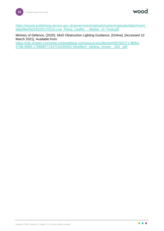wood.

[https://assets.publishing.service.gov.uk/government/uploads/system/uploads/attachment\\_](https://assets.publishing.service.gov.uk/government/uploads/system/uploads/attachment_data/file/592342/20170215-Low_Flying_Leaflet_-_Master_v3_Final.pdf) [data/file/592342/20170215-Low\\_Flying\\_Leaflet\\_-\\_Master\\_v3\\_Final.pdf](https://assets.publishing.service.gov.uk/government/uploads/system/uploads/attachment_data/file/592342/20170215-Low_Flying_Leaflet_-_Master_v3_Final.pdf)

Ministry of Defence, (2020). MoD Obstruction Lighting Guidance. [Online]. [Accessed 10 March 2021]. Available from:

[https://cdn.ymaws.com/www.renewableuk.com/resource/collection/0B792CF1-8B8A-](https://cdn.ymaws.com/www.renewableuk.com/resource/collection/0B792CF1-8B8A-474B-95B6-17886BF724A7/20190002-Windfarm_lighting_review__002_.pdf)[474B-95B6-17886BF724A7/20190002-Windfarm\\_lighting\\_review\\_\\_002\\_.pdf](https://cdn.ymaws.com/www.renewableuk.com/resource/collection/0B792CF1-8B8A-474B-95B6-17886BF724A7/20190002-Windfarm_lighting_review__002_.pdf)